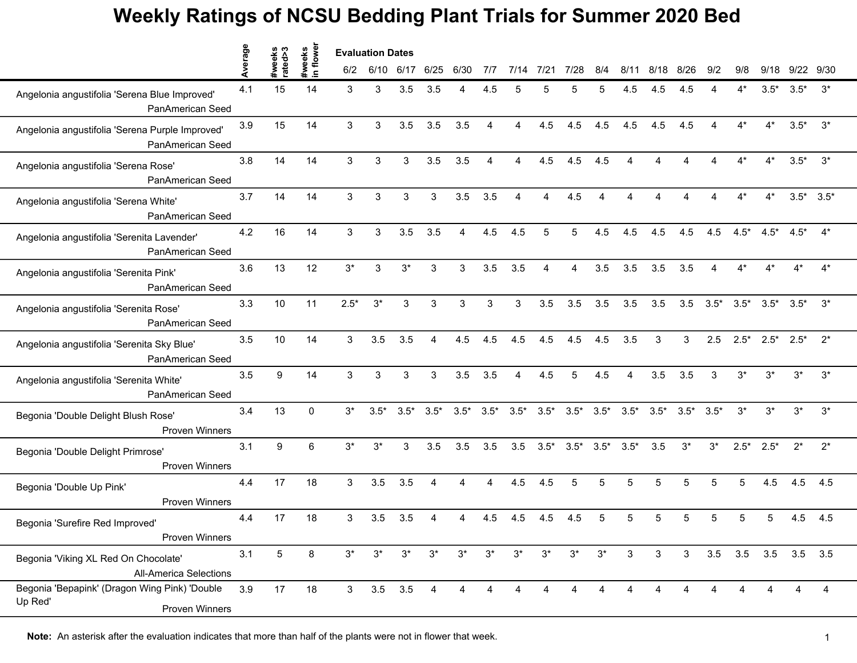|                                                                            | verage |                   |                     | <b>Evaluation Dates</b> |             |            |        |             |        |          |                |                |        |                |        |        |                        |        |                       |                 |       |
|----------------------------------------------------------------------------|--------|-------------------|---------------------|-------------------------|-------------|------------|--------|-------------|--------|----------|----------------|----------------|--------|----------------|--------|--------|------------------------|--------|-----------------------|-----------------|-------|
|                                                                            |        | #weeks<br>rated>3 | #weeks<br>in flower | 6/2                     | 6/10        | 6/17       | 6/25   | 6/30        | 717    | 7/14     | 7/21           | 7/28           | 8/4    | 8/11           | 8/18   | 8/26   | 9/2                    | 9/8    | 9/18                  | 9/22 9/30       |       |
| Angelonia angustifolia 'Serena Blue Improved'<br>PanAmerican Seed          | 4.1    | 15                | 14                  | 3                       | 3           | 3.5        | 3.5    | 4           | 4.5    | 5        | 5              | 5              |        | 4.5            | 4.5    | 4.5    |                        | 4*     | $3.5*$                | $3.5*$          | $3^*$ |
| Angelonia angustifolia 'Serena Purple Improved'<br>PanAmerican Seed        | 3.9    | 15                | 14                  | 3                       | 3           | 3.5        | 3.5    | 3.5         | 4      | $\Delta$ | 4.5            | 4.5            | 4.5    | 4.5            | 4.5    | 4.5    | $\boldsymbol{\Lambda}$ | $4^*$  | $4^*$                 | $3.5*$          | $3^*$ |
| Angelonia angustifolia 'Serena Rose'<br>PanAmerican Seed                   | 3.8    | 14                | 14                  | 3                       | 3           | 3          | 3.5    | 3.5         | 4      | $\Delta$ | 4.5            | 4.5            | 4.5    |                |        |        |                        | 4*     | $4^*$                 | $3.5*$          | $3^*$ |
| Angelonia angustifolia 'Serena White'<br>PanAmerican Seed                  | 3.7    | 14                | 14                  | 3                       | 3           | 3          | 3      | 3.5         | 3.5    | Δ        | 4              | 4.5            |        |                |        |        |                        | 4*     | $4^*$                 | $3.5^*$ $3.5^*$ |       |
| Angelonia angustifolia 'Serenita Lavender'<br>PanAmerican Seed             | 4.2    | 16                | 14                  | 3                       | 3           | 3.5        | 3.5    | 4           | 4.5    | 4.5      | 5              | 5              | 4.5    | 4.5            | 4.5    | 4.5    | 4.5                    | $4.5*$ | $4.5*$                | $4.5*$          | $4^*$ |
| Angelonia angustifolia 'Serenita Pink'<br>PanAmerican Seed                 | 3.6    | 13                | 12                  | $3*$                    | 3           | $3^{\ast}$ | 3      | 3           | 3.5    | 3.5      | $\overline{4}$ | $\overline{4}$ | 3.5    | 3.5            | 3.5    | 3.5    | $\overline{4}$         | $4^*$  | $4*$                  | $4^*$           | $4^*$ |
| Angelonia angustifolia 'Serenita Rose'<br>PanAmerican Seed                 | 3.3    | 10                | 11                  | $2.5*$                  | $3^*$       | 3          | 3      | $\mathsf 3$ | 3      | 3        | 3.5            | 3.5            | 3.5    | 3.5            | 3.5    | 3.5    | $3.5*$                 | $3.5*$ | $3.5*$                | $3.5*$          | $3^*$ |
| Angelonia angustifolia 'Serenita Sky Blue'<br>PanAmerican Seed             | 3.5    | 10                | 14                  | 3                       | 3.5         | 3.5        | 4      | 4.5         | 4.5    | 4.5      | 4.5            | 4.5            | 4.5    | 3.5            | 3      | 3      | 2.5                    | $2.5*$ | $2.5*$                | $2.5*$          | $2^*$ |
| Angelonia angustifolia 'Serenita White'<br>PanAmerican Seed                | 3.5    | 9                 | 14                  | 3                       | 3           | 3          | 3      | 3.5         | 3.5    | Δ        | 4.5            | 5              | 4.5    |                | 3.5    | 3.5    | 3                      | $3^*$  | $3^*$                 | $3^*$           | $3^*$ |
| Begonia 'Double Delight Blush Rose'<br><b>Proven Winners</b>               | 3.4    | 13                | $\mathbf{0}$        | $3^*$                   | $3.5*$      | $3.5*$     | $3.5*$ | $3.5*$      | $3.5*$ | $3.5*$   | $3.5*$         | $3.5*$         | $3.5*$ | $3.5*$         | $3.5*$ | $3.5*$ | $3.5*$                 | $3^*$  | $3^*$                 | $3^*$           | $3^*$ |
| Begonia 'Double Delight Primrose'<br><b>Proven Winners</b>                 | 3.1    | $\boldsymbol{9}$  | 6                   | $3^*$                   | $3^*$       | 3          | 3.5    | 3.5         | 3.5    | 3.5      | $3.5*$         | $3.5*$         | $3.5*$ | $3.5*$         | 3.5    | $3^*$  | $3^*$                  | $2.5*$ | $2.5*$                | $2^*$           | $2^*$ |
| Begonia 'Double Up Pink'<br><b>Proven Winners</b>                          | 4.4    | 17                | 18                  | 3                       | 3.5         | 3.5        | 4      | Δ           | Δ      | 4.5      | 4.5            | 5              | 5      | 5              | 5      | 5      | 5                      | 5      | 4.5                   | 4.5             | 4.5   |
| Begonia 'Surefire Red Improved'<br>Proven Winners                          | 4.4    | 17                | 18                  | 3                       | 3.5         | 3.5        |        |             | 4.5    | 4.5      | 4.5            | 4.5            |        |                |        | 5      |                        | 5      |                       | 4.5             | 4.5   |
| Begonia 'Viking XL Red On Chocolate'<br><b>All-America Selections</b>      | 3.1    | 5                 | 8                   | $3^*$                   | $3^*$       | $3^*$      | $3^*$  | $3^*$       | $3^*$  | $3^*$    | $3^*$          | $3^*$          | $3^*$  | 3              | 3      |        |                        |        | 3 3.5 3.5 3.5 3.5 3.5 |                 |       |
| Begonia 'Bepapink' (Dragon Wing Pink) 'Double<br>Up Red'<br>Proven Winners | 3.9    | 17                | 18                  | $\mathbf{3}$            | $3.5$ $3.5$ |            | 4      | 4           | 4      | 4        | $\overline{A}$ | $\overline{4}$ |        | $\overline{4}$ |        |        |                        |        |                       | 4               | 4     |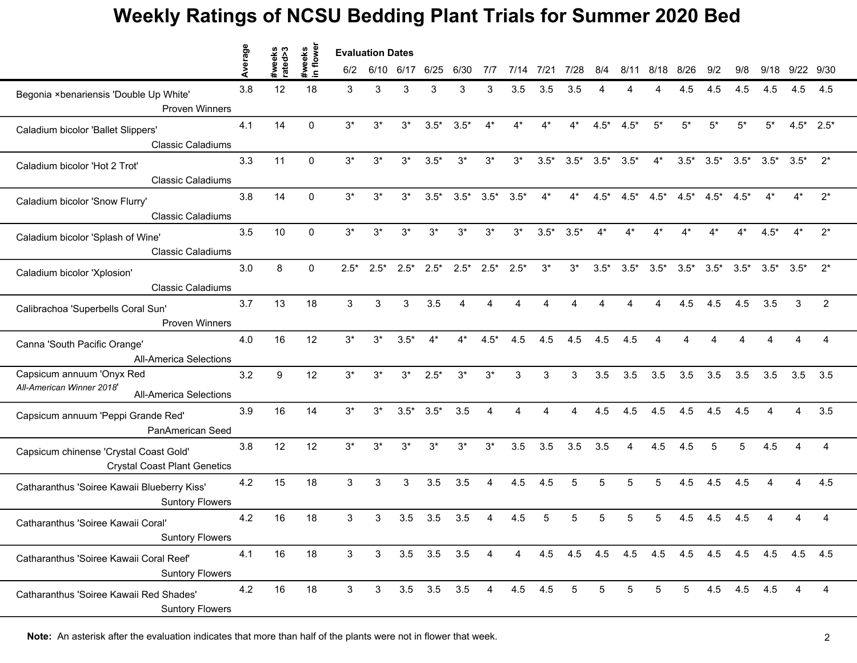|                                                                                         | erage |                   |                    | <b>Evaluation Dates</b> |        |        |                   |        |                        |         |        |                 |        |        |                                         |              |        |             |                        |                 |                |
|-----------------------------------------------------------------------------------------|-------|-------------------|--------------------|-------------------------|--------|--------|-------------------|--------|------------------------|---------|--------|-----------------|--------|--------|-----------------------------------------|--------------|--------|-------------|------------------------|-----------------|----------------|
|                                                                                         |       | #weeks<br>rated>3 | #weeks<br>in flowe | 6/2                     | 6/10   | 6/17   | 6/25              | 6/30   | 7/7                    | 7/14    | 7/21   | 7/28            | 8/4    | 8/11   | 8/18                                    | 8/26         | 9/2    | 9/8         | 9/18                   | 9/22            | 9/30           |
| Begonia ×benariensis 'Double Up White'                                                  | 3.8   | 12                | 18                 | 3                       | 3      | 3      | 3                 | 3      | 3                      | 3.5     | 3.5    | 3.5             |        |        |                                         | 4.5          | 4.5    | 4.5         | 4.5                    | 4.5             | 4.5            |
| <b>Proven Winners</b>                                                                   |       |                   |                    |                         |        |        |                   |        |                        |         |        |                 |        |        |                                         |              |        |             |                        |                 |                |
| Caladium bicolor 'Ballet Slippers'<br><b>Classic Caladiums</b>                          | 4.1   | 14                | $\mathbf{0}$       | $3^*$                   | $3^*$  | $3^*$  | $3.5*$            | $3.5*$ | $4^*$                  | $4^*$   | $4*$   | $4^*$           | $4.5*$ | $4.5*$ | $5^{\star}$                             | $5^{\star}$  | $5*$   | $5*$        | $5*$                   | $4.5^*$ 2.5*    |                |
| Caladium bicolor 'Hot 2 Trot'                                                           | 3.3   | 11                | $\Omega$           | $3^*$                   | $3^*$  | $3^*$  | $3.5*$            | $3^*$  | $3^*$                  | $3^*$   | $3.5*$ | $3.5*$          | $3.5*$ | $3.5*$ | $4^*$                                   | $3.5^*$ 3.5* |        | $3.5*$      | $3.5*$                 | $3.5*$          | $2^*$          |
| <b>Classic Caladiums</b>                                                                |       |                   |                    |                         |        |        |                   |        |                        |         |        |                 |        |        |                                         |              |        |             |                        |                 |                |
| Caladium bicolor 'Snow Flurry'<br><b>Classic Caladiums</b>                              | 3.8   | 14                | $\Omega$           | $3^*$                   | $3^*$  | $3^*$  | $3.5*$            | $3.5*$ | $3.5*$                 | $3.5*$  | $4^*$  | $4^*$           | $4.5*$ |        | $4.5^*$ $4.5^*$ $4.5^*$ $4.5^*$         |              |        | $4.5*$      | $4^*$                  | $4^*$           | $2^*$          |
| Caladium bicolor 'Splash of Wine'<br><b>Classic Caladiums</b>                           | 3.5   | 10                | $\Omega$           | $3^*$                   | 3*     | $3^*$  | $3^*$             | $3^*$  | $3^*$                  | $3^*$   | $3.5*$ | $3.5*$          |        |        |                                         |              |        |             | $4.5*$                 |                 | $2^*$          |
|                                                                                         | 3.0   |                   | $\mathbf{0}$       |                         |        |        |                   |        |                        |         |        |                 |        |        |                                         |              |        |             |                        | $3.5^*$ $3.5^*$ | $2^*$          |
| Caladium bicolor 'Xplosion'<br><b>Classic Caladiums</b>                                 |       | 8                 |                    | $2.5*$                  | $2.5*$ | $2.5*$ | $2.5*$            | $2.5*$ | $2.5*$                 | $2.5*$  | $3^*$  | $3^*$           | $3.5*$ | $3.5*$ | $3.5*$                                  | $3.5*$       | $3.5*$ | $3.5*$      |                        |                 |                |
| Calibrachoa 'Superbells Coral Sun'                                                      | 3.7   | 13                | 18                 | 3                       | 3      | 3      | 3.5               | 4      |                        | Δ       |        | 4               |        |        | 4                                       | 4.5          | 4.5    | 4.5         | 3.5                    | 3               | 2              |
| <b>Proven Winners</b>                                                                   |       |                   |                    |                         |        |        |                   |        |                        |         |        |                 |        |        |                                         |              |        |             |                        |                 |                |
| Canna 'South Pacific Orange'<br><b>All-America Selections</b>                           | 4.0   | 16                | 12                 | $3^*$                   | $3^*$  | $3.5*$ | $4^*$             | $4^*$  | $4.5*$                 | 4.5     | 4.5    | 4.5             | 4.5    | 4.5    |                                         |              |        |             |                        |                 |                |
| Capsicum annuum 'Onyx Red<br>All-American Winner 2018'<br><b>All-America Selections</b> | 3.2   | 9                 | 12                 | $3^*$                   | 3*     | $3^*$  | $2.5*$            | $3^*$  | $3^*$                  | 3       | 3      | 3               | 3.5    | 3.5    | 3.5                                     | 3.5          | 3.5    | 3.5         | 3.5                    | 3.5             | 3.5            |
| Capsicum annuum 'Peppi Grande Red'<br>PanAmerican Seed                                  | 3.9   | 16                | 14                 | $3*$                    | $3^*$  | $3.5*$ | $3.5*$            | 3.5    | $\boldsymbol{\Lambda}$ | Δ       | Δ      | 4               | 4.5    | 4.5    | 4.5                                     | 4.5          | 4.5    | 4.5         | $\boldsymbol{\Lambda}$ | $\Delta$        | 3.5            |
| Capsicum chinense 'Crystal Coast Gold'<br><b>Crystal Coast Plant Genetics</b>           | 3.8   | 12                | 12                 | $3^*$                   | $3^*$  | $3^*$  | $3^*$             | $3^*$  | $3^*$                  | 3.5     | 3.5    | 3.5             | 3.5    | 4      | 4.5                                     | 4.5          | 5      | 5           | 4.5                    |                 | $\overline{A}$ |
| Catharanthus 'Soiree Kawaii Blueberry Kiss'<br><b>Suntory Flowers</b>                   | 4.2   | 15                | 18                 | 3                       | 3      | 3      | 3.5               | 3.5    | $\overline{4}$         | 4.5     | 4.5    | 5               | 5      | 5      | 5                                       | 4.5          | 4.5    | 4.5         |                        |                 | 4.5            |
| Catharanthus 'Soiree Kawaii Coral'<br><b>Suntory Flowers</b>                            | 4.2   | 16                | 18                 | 3                       | 3      | 3.5    | 3.5               | 3.5    |                        | 4.5     |        |                 |        |        |                                         | 4.5          | 4.5    | 4.5         |                        |                 |                |
| Catharanthus 'Soiree Kawaii Coral Reef'<br><b>Suntory Flowers</b>                       | 4.1   | 16                | 18                 | 3                       | 3      |        | $3.5\quad 3.5$    | 3.5    | 4                      | 4       | 4.5    |                 |        |        | 4.5 4.5 4.5 4.5 4.5 4.5 4.5 4.5 4.5 4.5 |              |        |             |                        |                 |                |
| Catharanthus 'Soiree Kawaii Red Shades'<br><b>Suntory Flowers</b>                       | 4.2   | 16                | 18                 | 3                       | 3      |        | $3.5$ $3.5$ $3.5$ |        | $\overline{4}$         | 4.5 4.5 |        | $5\phantom{.0}$ | 5      | 5      | 5                                       | $5 -$        |        | 4.5 4.5 4.5 |                        | $\overline{4}$  | 4              |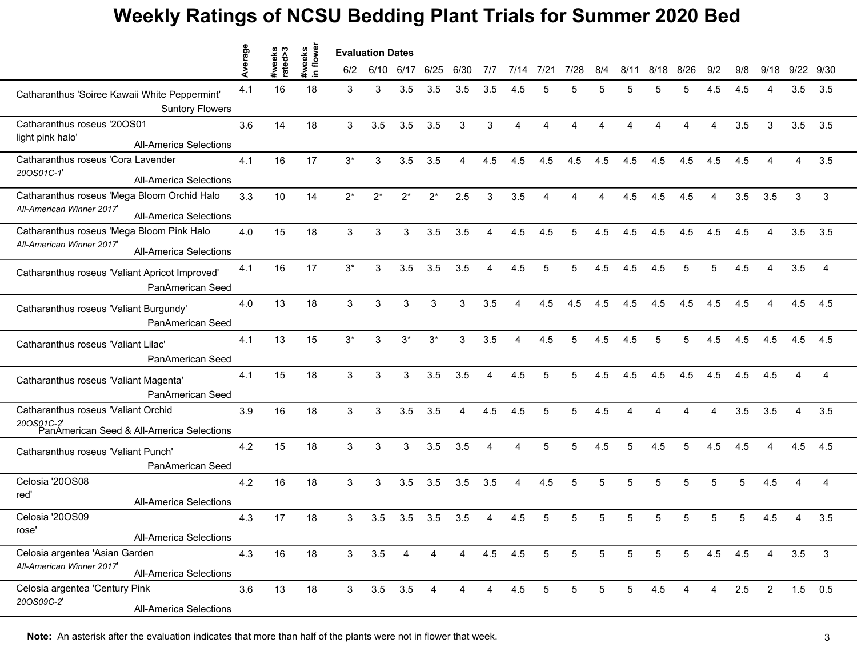|                                                                                                          | Average | S<br>weeks<br>ated>3 | flower<br>weeks |                | <b>Evaluation Dates</b> |                |                |      |                |      |      |                |                 |                |      |                |                        |         |                        |      |                |
|----------------------------------------------------------------------------------------------------------|---------|----------------------|-----------------|----------------|-------------------------|----------------|----------------|------|----------------|------|------|----------------|-----------------|----------------|------|----------------|------------------------|---------|------------------------|------|----------------|
|                                                                                                          |         | rate                 | $\mathbf{a}$    | 6/2            | 6/10                    | 6/17           | 6/25           | 6/30 | 7/7            | 7/14 | 7/21 | 7/28           | 8/4             | 8/11           | 8/18 | 8/26           | 9/2                    | 9/8     | 9/18                   | 9/22 | 9/30           |
| Catharanthus 'Soiree Kawaii White Peppermint'<br><b>Suntory Flowers</b>                                  | 4.1     | 16                   | 18              | 3              | 3                       | 3.5            | 3.5            | 3.5  | 3.5            | 4.5  |      |                | 5               | 5              |      | 5              | 4.5                    | 4.5     |                        | 3.5  | 3.5            |
| Catharanthus roseus '20OS01<br>light pink halo'<br><b>All-America Selections</b>                         | 3.6     | 14                   | 18              | 3              | 3.5                     | 3.5            | 3.5            | 3    | 3              | 4    |      |                |                 |                | Δ    | Δ              | $\boldsymbol{\Lambda}$ | 3.5     | 3                      | 3.5  | 3.5            |
| Catharanthus roseus 'Cora Lavender<br>20OS01C-1<br><b>All-America Selections</b>                         | 4.1     | 16                   | 17              | $3^*$          | 3                       | 3.5            | 3.5            | 4    | 4.5            | 4.5  | 4.5  | 4.5            | 4.5             | 4.5            | 4.5  | 4.5            | 4.5                    | 4.5     |                        | 4    | 3.5            |
| Catharanthus roseus 'Mega Bloom Orchid Halo<br>All-American Winner 2017<br><b>All-America Selections</b> | 3.3     | 10                   | 14              | $2^*$          | $2^*$                   | $2^*$          | $2^*$          | 2.5  | 3              | 3.5  | 4    |                | 4               | 4.5            | 4.5  | 4.5            | 4                      | 3.5     | 3.5                    | 3    | 3              |
| Catharanthus roseus 'Mega Bloom Pink Halo<br>All-American Winner 2017<br><b>All-America Selections</b>   | 4.0     | 15                   | 18              | 3              | 3                       | 3              | 3.5            | 3.5  | 4              | 4.5  | 4.5  | 5              | 4.5             | 4.5            | 4.5  | 4.5            | 4.5                    | 4.5     |                        | 3.5  | 3.5            |
| Catharanthus roseus 'Valiant Apricot Improved'<br>PanAmerican Seed                                       | 4.1     | 16                   | 17              | $3^*$          | 3                       | 3.5            | 3.5            | 3.5  | 4              | 4.5  | 5    | 5              | 4.5             | 4.5            | 4.5  | 5              | 5                      | 4.5     | $\boldsymbol{\Lambda}$ | 3.5  | $\overline{4}$ |
| Catharanthus roseus 'Valiant Burgundy'<br>PanAmerican Seed                                               | 4.0     | 13                   | 18              | 3              | 3                       | 3              | 3              | 3    | 3.5            | 4    | 4.5  | 4.5            | 4.5             | 4.5            | 4.5  | 4.5            | 4.5                    | 4.5     | 4                      | 4.5  | 4.5            |
| Catharanthus roseus 'Valiant Lilac'<br>PanAmerican Seed                                                  | 4.1     | 13                   | 15              | $3^*$          | 3                       | $3^*$          | $3^*$          | 3    | 3.5            |      | 4.5  | 5              | 4.5             | 4.5            | 5    | 5              | 4.5                    | 4.5     | 4.5                    | 4.5  | 4.5            |
| Catharanthus roseus 'Valiant Magenta'<br>PanAmerican Seed                                                | 4.1     | 15                   | 18              | 3              | 3                       | 3              | 3.5            | 3.5  | 4              | 4.5  | 5    | 5              | 4.5             | 4.5            | 4.5  | 4.5            | 4.5                    | 4.5     | 4.5                    |      | 4              |
| Catharanthus roseus 'Valiant Orchid<br>200S01C-2'<br>PanAmerican Seed & All-America Selections           | 3.9     | 16                   | 18              | 3              | 3                       | 3.5            | 3.5            | 4    | 4.5            | 4.5  | 5    | 5              | 4.5             | Δ              | Δ    | Δ              | $\boldsymbol{\Lambda}$ | 3.5     | 3.5                    | 4    | 3.5            |
| Catharanthus roseus 'Valiant Punch'<br>PanAmerican Seed                                                  | 4.2     | 15                   | 18              | 3              | 3                       | 3              | 3.5            | 3.5  | 4              | 4    | 5    | 5              | 4.5             | 5              | 4.5  | 5              | 4.5                    | 4.5     | 4                      | 4.5  | 4.5            |
| Celosia '20OS08<br>red'<br><b>All-America Selections</b>                                                 | 4.2     | 16                   | 18              | 3              | 3                       | 3.5            | 3.5            | 3.5  | 3.5            | 4    | 4.5  | 5              | 5               | 5              | 5    | 5              | 5                      | 5       | 4.5                    |      | 4              |
| Celosia '20OS09<br>rose'<br>All-America Selections                                                       | 4.3     | 17                   | 18              | 3              | 3.5                     | 3.5            | 3.5            | 3.5  |                | 4.5  |      |                |                 | 5              |      | 5              | 5                      | 5       | 4.5                    |      | 3.5            |
| Celosia argentea 'Asian Garden<br>All-American Winner 2017'<br><b>All-America Selections</b>             | 4.3     | 16                   | 18              | $\mathbf{3}$   | 3.5                     | 4              | 4              | 4    | 4.5            | 4.5  | 5    | 5              | $\overline{5}$  | 5              | 5    | 5 <sub>5</sub> |                        | 4.5 4.5 | 4                      | 3.5  | 3              |
| Celosia argentea 'Century Pink<br>20OS09C-2'<br>All-America Selections                                   | 3.6     | 13                   | 18              | 3 <sup>7</sup> |                         | $3.5\quad 3.5$ | $\overline{4}$ | 4    | $\overline{4}$ | 4.5  | 5    | 5 <sub>5</sub> | $5\phantom{.0}$ | 5 <sub>5</sub> | 4.5  | 4              | 4                      | 2.5     | $\overline{2}$         |      | $1.5$ 0.5      |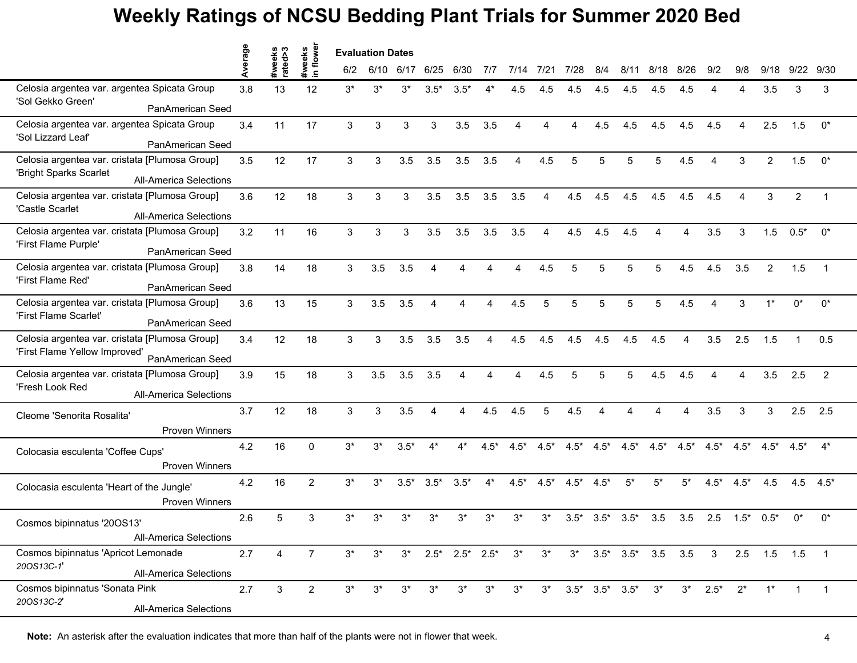|                                                         | werage | ě۶<br>€ | weeks<br>1 flowel | <b>Evaluation Dates</b> |       |        |                        |                        |        |        |        |        |                         |        |                                   |        |                        |                        |                 |                |                |
|---------------------------------------------------------|--------|---------|-------------------|-------------------------|-------|--------|------------------------|------------------------|--------|--------|--------|--------|-------------------------|--------|-----------------------------------|--------|------------------------|------------------------|-----------------|----------------|----------------|
|                                                         | ⋖      | rate    | $\mathbf{a}$      | 6/2                     | 6/10  | 6/17   | 6/25                   | 6/30                   | 7/7    | 7/14   | 7/21   | 7/28   | 8/4                     | 8/11   | 8/18                              | 8/26   | 9/2                    | 9/8                    | 9/18            | 9/22           | 9/30           |
| Celosia argentea var. argentea Spicata Group            | 3.8    | 13      | 12                | $3^*$                   | $3^*$ | $3^*$  | $3.5*$                 | $3.5*$                 |        | 4.5    | 4.5    | 4.5    | 4.5                     | 4.5    | 4.5                               | 4.5    |                        |                        | 3.5             | 3              | 3              |
| 'Sol Gekko Green'<br>PanAmerican Seed                   |        |         |                   |                         |       |        |                        |                        |        |        |        |        |                         |        |                                   |        |                        |                        |                 |                |                |
| Celosia argentea var. argentea Spicata Group            | 3.4    | 11      | 17                | 3                       | 3     | 3      | 3                      | 3.5                    | 3.5    | 4      | Δ      | Δ      | 4.5                     | 4.5    | 4.5                               | 4.5    | 4.5                    | $\boldsymbol{\Lambda}$ | 2.5             | 1.5            | $0^*$          |
| 'Sol Lizzard Leaf'<br>PanAmerican Seed                  |        |         |                   |                         |       |        |                        |                        |        |        |        |        |                         |        |                                   |        |                        |                        |                 |                |                |
| Celosia argentea var. cristata [Plumosa Group]          | 3.5    | 12      | 17                | 3                       | 3     | 3.5    | 3.5                    | 3.5                    | 3.5    | 4      | 4.5    | 5      | 5                       | 5      | 5                                 | 4.5    | $\boldsymbol{\Lambda}$ | 3                      | $\overline{2}$  | 1.5            | $0^*$          |
| 'Bright Sparks Scarlet<br><b>All-America Selections</b> |        |         |                   |                         |       |        |                        |                        |        |        |        |        |                         |        |                                   |        |                        |                        |                 |                |                |
| Celosia argentea var. cristata [Plumosa Group]          | 3.6    | 12      | 18                | 3                       | 3     | 3      | 3.5                    | 3.5                    | 3.5    | 3.5    | 4      | 4.5    | 4.5                     | 4.5    | 4.5                               | 4.5    | 4.5                    |                        | 3               | $\overline{2}$ |                |
| 'Castle Scarlet<br><b>All-America Selections</b>        |        |         |                   |                         |       |        |                        |                        |        |        |        |        |                         |        |                                   |        |                        |                        |                 |                |                |
| Celosia argentea var. cristata [Plumosa Group]          | 3.2    | 11      | 16                | 3                       | 3     | 3      | 3.5                    | 3.5                    | 3.5    | 3.5    | 4      | 4.5    | 4.5                     | 4.5    |                                   |        | 3.5                    | 3                      | 1.5             | $0.5*$         | $0^*$          |
| 'First Flame Purple'<br>PanAmerican Seed                |        |         |                   |                         |       |        |                        |                        |        |        |        |        |                         |        |                                   |        |                        |                        |                 |                |                |
| Celosia argentea var. cristata [Plumosa Group]          | 3.8    | 14      | 18                | 3                       | 3.5   | 3.5    | $\overline{4}$         | $\boldsymbol{\Lambda}$ |        |        | 4.5    | 5      | 5                       | 5      | 5                                 | 4.5    | 4.5                    | 3.5                    | $\overline{2}$  | 1.5            | $\overline{1}$ |
| 'First Flame Red'<br>PanAmerican Seed                   |        |         |                   |                         |       |        |                        |                        |        |        |        |        |                         |        |                                   |        |                        |                        |                 |                |                |
| Celosia argentea var. cristata [Plumosa Group]          | 3.6    | 13      | 15                | 3                       | 3.5   | 3.5    | $\boldsymbol{\Lambda}$ | 4                      | 4      | 4.5    | 5      | 5      | 5                       | 5      | 5                                 | 4.5    | $\boldsymbol{\Lambda}$ | 3                      | $1^*$           | $0^*$          | $0^*$          |
| 'First Flame Scarlet'<br>PanAmerican Seed               |        |         |                   |                         |       |        |                        |                        |        |        |        |        |                         |        |                                   |        |                        |                        |                 |                |                |
| Celosia argentea var. cristata [Plumosa Group]          | 3.4    | 12      | 18                | 3                       | 3     | 3.5    | 3.5                    | 3.5                    | 4      | 4.5    | 4.5    | 4.5    | 4.5                     | 4.5    | 4.5                               | 4      | 3.5                    | 2.5                    | 1.5             |                | 0.5            |
| 'First Flame Yellow Improved'<br>PanAmerican Seed       |        |         |                   |                         |       |        |                        |                        |        |        |        |        |                         |        |                                   |        |                        |                        |                 |                |                |
| Celosia argentea var. cristata [Plumosa Group]          | 3.9    | 15      | 18                | 3                       | 3.5   | 3.5    | 3.5                    |                        |        |        | 4.5    |        |                         | 5      | 4.5                               | 4.5    |                        |                        | 3.5             | 2.5            | 2              |
| 'Fresh Look Red<br><b>All-America Selections</b>        |        |         |                   |                         |       |        |                        |                        |        |        |        |        |                         |        |                                   |        |                        |                        |                 |                |                |
| Cleome 'Senorita Rosalita'                              | 3.7    | 12      | 18                | 3                       | 3     | 3.5    | $\overline{4}$         | 4                      | 4.5    | 4.5    | 5      | 4.5    | 4                       |        | Δ                                 | 4      | 3.5                    | 3                      | 3               | 2.5            | 2.5            |
| <b>Proven Winners</b>                                   |        |         |                   |                         |       |        |                        |                        |        |        |        |        |                         |        |                                   |        |                        |                        |                 |                |                |
| Colocasia esculenta 'Coffee Cups'                       | 4.2    | 16      | $\Omega$          | $3*$                    | $3^*$ | $3.5*$ | $4*$                   | $4^*$                  | $4.5*$ | $4.5*$ | $4.5*$ | $4.5*$ | $4.5*$                  | $4.5*$ | $4.5*$                            | $4.5*$ | $4.5*$                 | $4.5*$                 | $4.5*$          | $4.5^*$        | $4^*$          |
| Proven Winners                                          |        |         |                   |                         |       |        |                        |                        |        |        |        |        |                         |        |                                   |        |                        |                        |                 |                |                |
| Colocasia esculenta 'Heart of the Jungle'               | 4.2    | 16      | $\overline{2}$    | $3^*$                   | $3^*$ | $3.5*$ | $3.5*$                 | $3.5*$                 | $4^*$  | $4.5*$ | $4.5*$ | $4.5*$ | $4.5*$                  | $5^*$  | $5*$                              | $5^*$  | $4.5*$                 | $4.5*$                 | 4.5             | 4.5            | $4.5*$         |
| <b>Proven Winners</b>                                   |        |         |                   |                         |       |        |                        |                        |        |        |        |        |                         |        |                                   |        |                        |                        |                 |                |                |
| Cosmos bipinnatus '20OS13'                              | 2.6    | 5       | 3                 | $3^*$                   | 3*    | 3*     | 3*                     | $3^*$                  | $3^*$  | $3^*$  | $3^*$  | $3.5*$ | $3.5*$                  | $3.5*$ | 3.5                               | 3.5    | 2.5                    |                        | $1.5^*$ 0.5*    | 0*             | $0^*$          |
| All-America Selections                                  |        |         |                   |                         |       |        |                        |                        |        |        |        |        |                         |        |                                   |        |                        |                        |                 |                |                |
| Cosmos bipinnatus 'Apricot Lemonade                     | 2.7    | 4       | 7                 | $3^*$                   | $3^*$ |        |                        | $3^*$ 2.5* 2.5* 2.5*   |        | $3^*$  | $3^*$  |        |                         |        | $3^*$ $3.5^*$ $3.5^*$ $3.5$ $3.5$ |        |                        |                        | $3$ 2.5 1.5 1.5 |                | $\overline{1}$ |
| 20OS13C-1'<br><b>All-America Selections</b>             |        |         |                   |                         |       |        |                        |                        |        |        |        |        |                         |        |                                   |        |                        |                        |                 |                |                |
| Cosmos bipinnatus 'Sonata Pink                          | 2.7    | 3       | $\overline{2}$    | $3^*$                   | $3^*$ | $3^*$  | $3^*$                  | $3^*$                  | $3^*$  | $3^*$  | $3^*$  |        | $3.5^*$ $3.5^*$ $3.5^*$ |        | $3^*$                             |        | $3^*$ 2.5 <sup>*</sup> | $2^*$                  | $1^*$           | $\mathbf{1}$   | $\overline{1}$ |
| 20OS13C-2'<br><b>All-America Selections</b>             |        |         |                   |                         |       |        |                        |                        |        |        |        |        |                         |        |                                   |        |                        |                        |                 |                |                |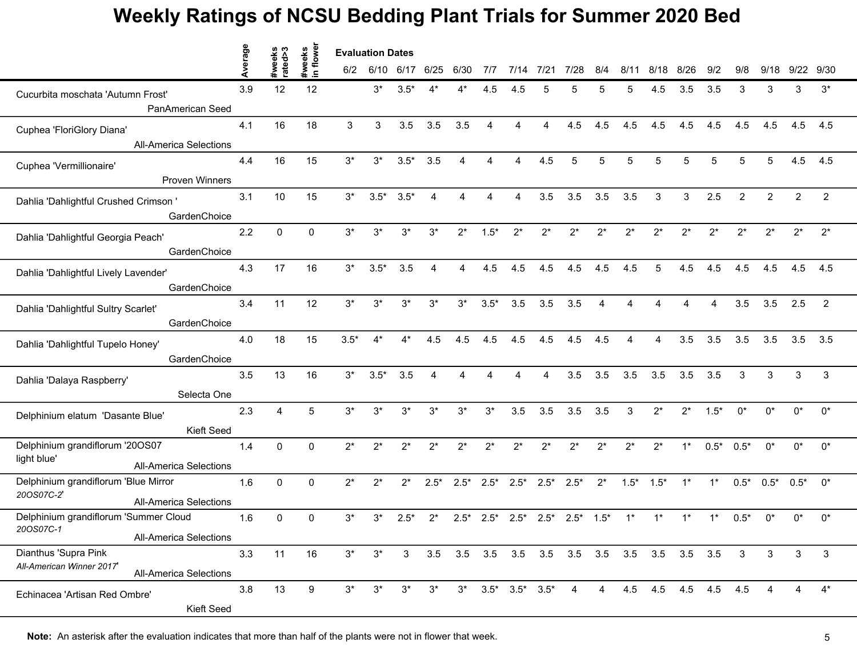|                                                                                   | erage |                   |                     | <b>Evaluation Dates</b> |           |        |                |        |                        |                         |        |                |                |                 |       |             |                        |                |                      |                |                |
|-----------------------------------------------------------------------------------|-------|-------------------|---------------------|-------------------------|-----------|--------|----------------|--------|------------------------|-------------------------|--------|----------------|----------------|-----------------|-------|-------------|------------------------|----------------|----------------------|----------------|----------------|
|                                                                                   |       | #weeks<br>rated>3 | #weeks<br>in flower | 6/2                     | 6/10 6/17 |        | 6/25           | 6/30   | 7/7                    | 7/14                    | 7/21   | 7/28           | 8/4            | 8/11            | 8/18  | 8/26        | 9/2                    | 9/8            | 9/18                 | 9/22           | 9/30           |
| Cucurbita moschata 'Autumn Frost'                                                 | 3.9   | 12                | 12                  |                         | $3^*$     | $3.5*$ |                |        | 4.5                    | 4.5                     | 5      | 5              |                | 5               | 4.5   | 3.5         | 3.5                    | 3              | 3                    | 3              | $3^*$          |
| PanAmerican Seed                                                                  |       |                   |                     |                         |           |        |                |        |                        |                         |        |                |                |                 |       |             |                        |                |                      |                |                |
| Cuphea 'FloriGlory Diana'                                                         | 4.1   | 16                | 18                  | 3                       | 3         | 3.5    | 3.5            | 3.5    | $\boldsymbol{\Lambda}$ | Δ                       | 4      | 4.5            | 4.5            | 4.5             | 4.5   | 4.5         | 4.5                    | 4.5            | 4.5                  | 4.5            | 4.5            |
| <b>All-America Selections</b>                                                     |       |                   |                     |                         |           |        |                |        |                        |                         |        |                |                |                 |       |             |                        |                |                      |                |                |
| Cuphea 'Vermillionaire'<br>Proven Winners                                         | 4.4   | 16                | 15                  | $3^*$                   | $3^*$     | $3.5*$ | 3.5            | 4      | 4                      | $\boldsymbol{\Lambda}$  | 4.5    | 5              | 5              | 5               | 5     | 5           | 5                      | 5              | 5                    | 4.5            | 4.5            |
|                                                                                   |       |                   |                     |                         |           |        |                |        |                        |                         |        |                |                |                 |       |             |                        |                |                      |                |                |
| Dahlia 'Dahlightful Crushed Crimson'<br>GardenChoice                              | 3.1   | 10                | 15                  | $3^*$                   | $3.5*$    | $3.5*$ | $\overline{4}$ | 4      | Δ                      | Δ                       | 3.5    | 3.5            | 3.5            | 3.5             | 3     | 3           | 2.5                    | $\overline{2}$ | 2                    | $\overline{2}$ | $\overline{2}$ |
| Dahlia 'Dahlightful Georgia Peach'                                                | 2.2   | $\mathbf{0}$      | $\Omega$            | $3^*$                   | 3*        | $3^*$  | $3^*$          | $2^*$  | $1.5*$                 | $2^*$                   | $2^*$  | $2^*$          | $2^*$          | $2^*$           | $2^*$ | $2^*$       | $2^*$                  | $2^*$          | $2^*$                | $2^*$          | $2^*$          |
| GardenChoice                                                                      |       |                   |                     |                         |           |        |                |        |                        |                         |        |                |                |                 |       |             |                        |                |                      |                |                |
| Dahlia 'Dahlightful Lively Lavender'                                              | 4.3   | 17                | 16                  | $3^*$                   | $3.5*$    | 3.5    | $\overline{4}$ | 4      | 4.5                    | 4.5                     | 4.5    | 4.5            | 4.5            | 4.5             | 5     | 4.5         | 4.5                    | 4.5            | 4.5                  | 4.5            | 4.5            |
| GardenChoice                                                                      |       |                   |                     |                         |           |        |                |        |                        |                         |        |                |                |                 |       |             |                        |                |                      |                |                |
| Dahlia 'Dahlightful Sultry Scarlet'<br>GardenChoice                               | 3.4   | 11                | 12                  | $3^*$                   | $3^*$     | $3^*$  | $3^*$          | $3^*$  | $3.5*$                 | 3.5                     | 3.5    | 3.5            | $\overline{4}$ | 4               | 4     | 4           | $\boldsymbol{\Lambda}$ | 3.5            | 3.5                  | 2.5            | $\overline{2}$ |
| Dahlia 'Dahlightful Tupelo Honey'                                                 | 4.0   | 18                | 15                  | $3.5*$                  | $4^*$     | $4^*$  | 4.5            | 4.5    | 4.5                    | 4.5                     | 4.5    | 4.5            | 4.5            |                 | 4     | 3.5         | 3.5                    | 3.5            | 3.5                  | $3.5$ $3.5$    |                |
| GardenChoice                                                                      |       |                   |                     |                         |           |        |                |        |                        |                         |        |                |                |                 |       |             |                        |                |                      |                |                |
| Dahlia 'Dalaya Raspberry'                                                         | 3.5   | 13                | 16                  | $3^*$                   | $3.5*$    | 3.5    | Δ              |        |                        |                         |        | 3.5            | 3.5            | 3.5             | 3.5   | 3.5         | 3.5                    | 3              | 3                    | 3              | 3              |
| Selecta One                                                                       |       |                   |                     |                         |           |        |                |        |                        |                         |        |                |                |                 |       |             |                        |                |                      |                |                |
| Delphinium elatum 'Dasante Blue'<br>Kieft Seed                                    | 2.3   | $\overline{4}$    | 5                   | $3^*$                   | $3^*$     | $3^*$  | $3^*$          | $3^*$  | $3^*$                  | 3.5                     | 3.5    | 3.5            | 3.5            | 3               | $2^*$ | $2^*$       | $1.5*$                 | $0^*$          | $0^*$                | $0^*$          | $0^*$          |
| Delphinium grandiflorum '20OS07                                                   | 1.4   | $\mathbf 0$       | $\Omega$            | $2^*$                   | $2^*$     | $2^*$  | $2^*$          | $2^*$  | $2^*$                  | $2^*$                   | $2^*$  | $2^*$          | $2^*$          | $2^*$           | $2^*$ | $1^*$       | $0.5*$                 | $0.5*$         | $0^*$                | $0^*$          | $0^*$          |
| light blue'<br><b>All-America Selections</b>                                      |       |                   |                     |                         |           |        |                |        |                        |                         |        |                |                |                 |       |             |                        |                |                      |                |                |
| Delphinium grandiflorum 'Blue Mirror                                              | 1.6   | $\mathbf 0$       | $\mathbf{0}$        | $2^*$                   | $2^*$     | $2^*$  | $2.5*$         | $2.5*$ | $2.5*$                 | $2.5*$                  | $2.5*$ | $2.5*$         | $2^*$          | $1.5^*$ $1.5^*$ |       | $1^*$       | $1^*$                  |                | $0.5^*$ 0.5* $0.5^*$ |                | $0^*$          |
| 20OS07C-2'<br><b>All-America Selections</b>                                       |       |                   |                     |                         |           |        |                |        |                        |                         |        |                |                |                 |       |             |                        |                |                      |                |                |
| Delphinium grandiflorum 'Summer Cloud<br>20OS07C-1                                | 1.6   | $\mathbf 0$       | 0                   | 3*                      | 3*        | $2.5*$ | $2^*$          | $2.5*$ | $2.5*$                 | $2.5*$                  | $2.5*$ | $2.5*$         | $1.5*$         |                 |       | $1^*$       |                        | $0.5*$         | n*                   | 0*             | $0^*$          |
| All-America Selections                                                            |       |                   |                     |                         |           |        |                |        |                        |                         |        |                |                |                 |       |             |                        |                |                      |                |                |
| Dianthus 'Supra Pink<br>All-American Winner 2017<br><b>All-America Selections</b> | 3.3   | 11                | 16                  | $3^*$                   | $3^*$     | 3      |                |        |                        |                         |        |                |                |                 |       |             |                        | 3              | 3                    | 3              | 3              |
| Echinacea 'Artisan Red Ombre'                                                     | 3.8   | 13                | 9                   | $3^*$                   | $3^*$     | $3^*$  | $3^*$          | $3^*$  |                        | $3.5^*$ $3.5^*$ $3.5^*$ |        | $\overline{4}$ | $\overline{4}$ | 4.5             |       | 4.5 4.5 4.5 |                        | 4.5            |                      | 4              | $4^*$          |
| Kieft Seed                                                                        |       |                   |                     |                         |           |        |                |        |                        |                         |        |                |                |                 |       |             |                        |                |                      |                |                |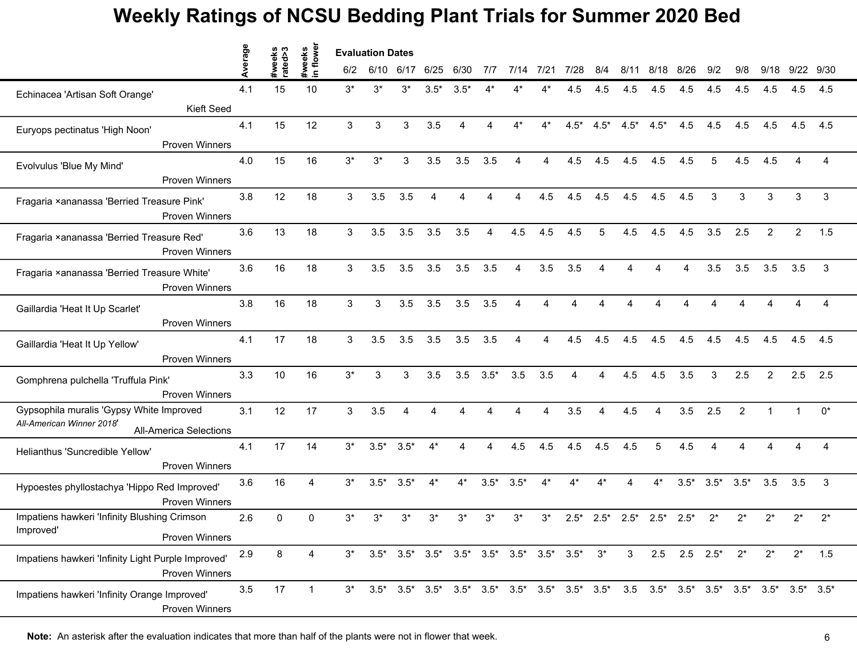|                                                                                                        | erage | ∾<br>weeks | #weeks<br>in flower |       | <b>Evaluation Dates</b>                                                                                                               |        |                                                                               |          |        |                |       |        |        |                |        |                           |                        |                |                |                |       |
|--------------------------------------------------------------------------------------------------------|-------|------------|---------------------|-------|---------------------------------------------------------------------------------------------------------------------------------------|--------|-------------------------------------------------------------------------------|----------|--------|----------------|-------|--------|--------|----------------|--------|---------------------------|------------------------|----------------|----------------|----------------|-------|
|                                                                                                        |       | rated>3    |                     | 6/2   | 6/10                                                                                                                                  | 6/17   | 6/25                                                                          | 6/30     | 7/7    | 7/14           | 7/21  | 7/28   | 8/4    | 8/11           | 8/18   | 8/26                      | 9/2                    | 9/8            | 9/18           | 9/22           | 9/30  |
| Echinacea 'Artisan Soft Orange'                                                                        | 4.1   | 15         | 10                  | $3^*$ | 3*                                                                                                                                    | $3^*$  | $3.5*$                                                                        | $3.5*$   |        |                |       | 4.5    | 4.5    | 4.5            | 4.5    | 4.5                       | 4.5                    | 4.5            | 4.5            | 4.5            | 4.5   |
| Kieft Seed                                                                                             |       |            |                     |       |                                                                                                                                       |        |                                                                               |          |        |                |       |        |        |                |        |                           |                        |                |                |                |       |
| Euryops pectinatus 'High Noon'                                                                         | 4.1   | 15         | 12                  | 3     | 3                                                                                                                                     | 3      | 3.5                                                                           | 4        | Δ      | $4*$           | $4^*$ | $4.5*$ | $4.5*$ | $4.5*$         | $4.5*$ | 4.5                       | 4.5                    | 4.5            | 4.5            | 4.5            | 4.5   |
| <b>Proven Winners</b>                                                                                  |       |            |                     |       |                                                                                                                                       |        |                                                                               |          |        |                |       |        |        |                |        |                           |                        |                |                |                |       |
| Evolvulus 'Blue My Mind'                                                                               | 4.0   | 15         | 16                  | $3^*$ | $3^*$                                                                                                                                 | 3      | 3.5                                                                           | 3.5      | 3.5    | 4              | 4     | 4.5    | 4.5    | 4.5            | 4.5    | 4.5                       | 5                      | 4.5            | 4.5            |                | 4     |
| <b>Proven Winners</b>                                                                                  |       |            |                     |       |                                                                                                                                       |        |                                                                               |          |        |                |       |        |        |                |        |                           |                        |                |                |                |       |
| Fragaria ×ananassa 'Berried Treasure Pink'<br><b>Proven Winners</b>                                    | 3.8   | 12         | 18                  | 3     | 3.5                                                                                                                                   | 3.5    | 4                                                                             | 4        |        | Δ              | 4.5   | 4.5    | 4.5    | 4.5            | 4.5    | 4.5                       | 3                      | 3              | 3              | 3              | 3     |
| Fragaria ×ananassa 'Berried Treasure Red'<br><b>Proven Winners</b>                                     | 3.6   | 13         | 18                  | 3     | 3.5                                                                                                                                   | 3.5    | 3.5                                                                           | 3.5      |        | 4.5            | 4.5   | 4.5    |        | 4.5            | 4.5    | 4.5                       | 3.5                    | 2.5            | $\mathcal{P}$  | $\overline{2}$ | 1.5   |
| Fragaria ×ananassa 'Berried Treasure White'<br><b>Proven Winners</b>                                   | 3.6   | 16         | 18                  | 3     | 3.5                                                                                                                                   | 3.5    | 3.5                                                                           | 3.5      | 3.5    | $\overline{4}$ | 3.5   | 3.5    | 4      |                | Δ      | Δ                         | 3.5                    | 3.5            | 3.5            | 3.5            | 3     |
| Gaillardia 'Heat It Up Scarlet'<br><b>Proven Winners</b>                                               | 3.8   | 16         | 18                  | 3     | 3                                                                                                                                     | 3.5    | 3.5                                                                           | 3.5      | 3.5    | 4              | Δ     |        |        |                |        |                           |                        |                |                |                | 4     |
| Gaillardia 'Heat It Up Yellow'<br><b>Proven Winners</b>                                                | 4.1   | 17         | 18                  | 3     | 3.5                                                                                                                                   | 3.5    | 3.5                                                                           | 3.5      | 3.5    | Δ              | 4     | 4.5    | 4.5    | 4.5            | 4.5    | 4.5                       | 4.5                    | 4.5            | 4.5            | 4.5            | 4.5   |
| Gomphrena pulchella 'Truffula Pink'<br><b>Proven Winners</b>                                           | 3.3   | 10         | 16                  | $3^*$ | 3                                                                                                                                     | 3      | 3.5                                                                           | 3.5      | $3.5*$ | 3.5            | 3.5   |        |        | 4.5            | 4.5    | 3.5                       | 3                      | 2.5            | $\mathcal{P}$  | 2.5            | 2.5   |
| Gypsophila muralis 'Gypsy White Improved<br>All-American Winner 2018'<br><b>All-America Selections</b> | 3.1   | 12         | 17                  | 3     | 3.5                                                                                                                                   | 4      | 4                                                                             | $\Delta$ |        | Δ              | 4     | 3.5    | 4      | 4.5            | 4      | 3.5                       | 2.5                    | $\overline{2}$ | $\overline{1}$ |                | $0^*$ |
| Helianthus 'Suncredible Yellow'<br><b>Proven Winners</b>                                               | 4.1   | 17         | 14                  | $3^*$ | $3.5*$                                                                                                                                | $3.5*$ | $4^*$                                                                         | 4        | 4      | 4.5            | 4.5   | 4.5    | 4.5    | 4.5            | 5      | 4.5                       | $\boldsymbol{\Lambda}$ |                |                |                | 4     |
| Hypoestes phyllostachya 'Hippo Red Improved'<br><b>Proven Winners</b>                                  | 3.6   | 16         | Δ                   | $3^*$ | $3.5*$                                                                                                                                | $3.5*$ | $4^*$                                                                         | $4^*$    | $3.5*$ | $3.5*$         | $4^*$ | 4*     | $4^*$  |                | $4^*$  | $3.5*$                    | $3.5*$                 | $3.5*$         | 3.5            | 3.5            | 3     |
| Impatiens hawkeri 'Infinity Blushing Crimson<br>Improved'<br><b>Proven Winners</b>                     | 2.6   | $\Omega$   | $\Omega$            | $3^*$ | $3^*$                                                                                                                                 | $3^*$  | 3*                                                                            | $3^*$    | $3^*$  | $3^*$          | $3^*$ | $2.5*$ | $2.5*$ | $2.5*$         | $2.5*$ | $2.5*$                    | $2^*$                  | $2^*$          | $2^*$          | 2*             | $2^*$ |
| Impatiens hawkeri 'Infinity Light Purple Improved'<br><b>Proven Winners</b>                            | 2.9   | 8          | 4                   | $3^*$ |                                                                                                                                       |        | $3.5^*$ $3.5^*$ $3.5^*$ $3.5^*$ $3.5^*$ $3.5^*$ $3.5^*$ $3.5^*$ $3.5^*$ $3^*$ |          |        |                |       |        |        | 3 <sup>1</sup> |        | $2.5$ $2.5$ $2.5^*$ $2^*$ |                        |                | $2^*$          | $2^*$          | 1.5   |
| Impatiens hawkeri 'Infinity Orange Improved'<br><b>Proven Winners</b>                                  | 3.5   | 17         | $\overline{1}$      |       | $3^*$ $3.5^*$ $3.5^*$ $3.5^*$ $3.5^*$ $3.5^*$ $3.5^*$ $3.5^*$ $3.5^*$ $3.5^*$ $3.5^*$ $3.5^*$ $3.5^*$ $3.5^*$ $3.5^*$ $3.5^*$ $3.5^*$ |        |                                                                               |          |        |                |       |        |        |                |        |                           |                        |                |                |                |       |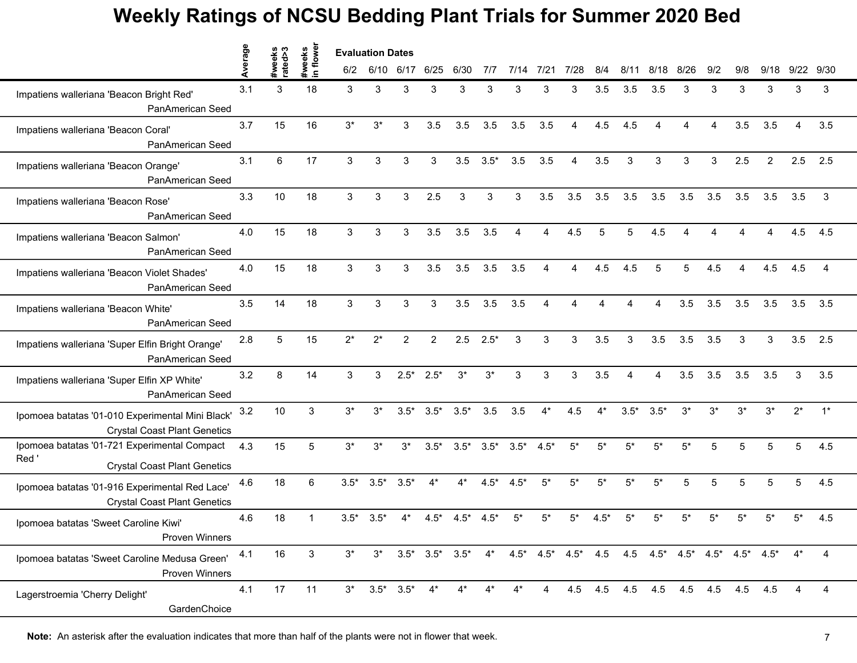|                                                                                             | verage |                   | flowe                | <b>Evaluation Dates</b> |        |                       |                |        |               |        |                |                        |       |        |                                                                                                                 |       |          |       |       |                        |                |
|---------------------------------------------------------------------------------------------|--------|-------------------|----------------------|-------------------------|--------|-----------------------|----------------|--------|---------------|--------|----------------|------------------------|-------|--------|-----------------------------------------------------------------------------------------------------------------|-------|----------|-------|-------|------------------------|----------------|
|                                                                                             |        | #weeks<br>rated>3 | #weeks<br>$\epsilon$ | 6/2                     | 6/10   | 6/17                  | 6/25           | 6/30   | 7/7           | 7/14   | 7/21           | 7/28                   | 8/4   | 8/11   | 8/18                                                                                                            | 8/26  | 9/2      | 9/8   | 9/18  | 9/22 9/30              |                |
| Impatiens walleriana 'Beacon Bright Red'<br>PanAmerican Seed                                | 3.1    | 3                 | 18                   | 3                       | 3      | 3                     | 3              | 3      | 3             | 3      | 3              | 3                      | 3.5   | 3.5    | 3.5                                                                                                             | 3     | З        | 3     | 3     | 3                      | 3              |
| Impatiens walleriana 'Beacon Coral'<br>PanAmerican Seed                                     | 3.7    | 15                | 16                   | $3^*$                   | $3^*$  | 3                     | 3.5            | 3.5    | 3.5           | 3.5    | 3.5            | $\boldsymbol{\Lambda}$ | 4.5   | 4.5    | $\boldsymbol{\Lambda}$                                                                                          | Δ     | $\Delta$ | 3.5   | 3.5   | $\boldsymbol{\Lambda}$ | 3.5            |
| Impatiens walleriana 'Beacon Orange'<br>PanAmerican Seed                                    | 3.1    | 6                 | 17                   | 3                       | 3      | 3                     | 3              | 3.5    | $3.5*$        | 3.5    | 3.5            | $\overline{4}$         | 3.5   | 3      | 3                                                                                                               | 3     | 3        | 2.5   | 2     | 2.5                    | 2.5            |
| Impatiens walleriana 'Beacon Rose'<br>PanAmerican Seed                                      | 3.3    | 10                | 18                   | 3                       | 3      | 3                     | 2.5            | 3      | 3             | 3      | 3.5            | 3.5                    | 3.5   | 3.5    | 3.5                                                                                                             | 3.5   | 3.5      | 3.5   | 3.5   | 3.5                    | 3              |
| Impatiens walleriana 'Beacon Salmon'<br>PanAmerican Seed                                    | 4.0    | 15                | 18                   | 3                       | 3      | 3                     | 3.5            | 3.5    | 3.5           |        |                | 4.5                    |       |        | 4.5                                                                                                             |       |          |       |       | 4.5                    | 4.5            |
| Impatiens walleriana 'Beacon Violet Shades'<br>PanAmerican Seed                             | 4.0    | 15                | 18                   | 3                       | 3      | 3                     | 3.5            | 3.5    | 3.5           | 3.5    | $\overline{A}$ | $\Delta$               | 4.5   | 4.5    | 5                                                                                                               | 5     | 4.5      | Δ     | 4.5   | 4.5                    | $\overline{4}$ |
| Impatiens walleriana 'Beacon White'<br>PanAmerican Seed                                     | 3.5    | 14                | 18                   | 3                       | 3      | 3                     | 3              | 3.5    | 3.5           | 3.5    | 4              | Δ                      |       |        | 4                                                                                                               | 3.5   | 3.5      | 3.5   | 3.5   | 3.5                    | 3.5            |
| Impatiens walleriana 'Super Elfin Bright Orange'<br>PanAmerican Seed                        | 2.8    | 5                 | 15                   | $2^*$                   | $2^*$  | $\overline{2}$        | $\overline{2}$ | 2.5    | $2.5*$        | 3      | 3              | 3                      | 3.5   | 3      | 3.5                                                                                                             | 3.5   | 3.5      | 3     | 3     | 3.5                    | 2.5            |
| Impatiens walleriana 'Super Elfin XP White'<br>PanAmerican Seed                             | 3.2    | 8                 | 14                   | 3                       | 3      | $2.5*$                | $2.5*$         | $3^*$  | $3^*$         | 3      | 3              | 3                      | 3.5   |        |                                                                                                                 | 3.5   | 3.5      | 3.5   | 3.5   | 3                      | 3.5            |
| Ipomoea batatas '01-010 Experimental Mini Black'<br><b>Crystal Coast Plant Genetics</b>     | 3.2    | 10                | 3                    | $3^*$                   | $3^*$  | $3.5*$                | $3.5*$         | $3.5*$ | 3.5           | 3.5    | $4*$           | 4.5                    | $4^*$ | $3.5*$ | $3.5*$                                                                                                          | $3^*$ | $3^*$    | $3^*$ | $3^*$ | $2^*$                  | $1^*$          |
| Ipomoea batatas '01-721 Experimental Compact<br>Red'<br><b>Crystal Coast Plant Genetics</b> | 4.3    | 15                | 5                    | $3^*$                   | $3^*$  | $3^*$                 | $3.5*$         | $3.5*$ | $3.5*$        | $3.5*$ | $4.5*$         | $5*$                   | 5*    | 5*     | 5*                                                                                                              | $5*$  | 5        | 5     | 5     | 5                      | 4.5            |
| Ipomoea batatas '01-916 Experimental Red Lace'<br><b>Crystal Coast Plant Genetics</b>       | 4.6    | 18                | 6                    | $3.5*$                  | $3.5*$ | $3.5*$                | $4^*$          | $4^*$  | $4.5*$        | $4.5*$ | $5*$           | $5*$                   | $5*$  | $5^*$  | $5*$                                                                                                            | 5     | 5        | 5     | 5     | 5                      | 4.5            |
| Ipomoea batatas 'Sweet Caroline Kiwi'<br>Proven Winners                                     | 4.6    | 18                | 1                    | $3.5*$                  | $3.5*$ | 4*                    | $4.5*$         | $4.5*$ | $4.5^{\circ}$ | 5'     |                |                        | 4.5'  |        |                                                                                                                 | 5*    |          |       |       | 5*                     | 4.5            |
| Ipomoea batatas 'Sweet Caroline Medusa Green'<br>Proven Winners                             | 4.1    | 16                | 3                    | $3^*$                   |        |                       |                |        |               |        |                |                        |       |        | $3^*$ $3.5^*$ $3.5^*$ $3.5^*$ $4^*$ $4.5^*$ $4.5^*$ $4.5^*$ $4.5$ $4.5$ $4.5^*$ $4.5^*$ $4.5^*$ $4.5^*$ $4.5^*$ |       |          |       |       | $4^*$                  | 4              |
| Lagerstroemia 'Cherry Delight'<br>GardenChoice                                              | 4.1    | 17                | 11                   |                         |        | $3^*$ $3.5^*$ $3.5^*$ | $4^*$          | $4^*$  |               | $4^*$  | $\overline{4}$ |                        |       |        | 4.5 4.5 4.5 4.5 4.5 4.5 4.5                                                                                     |       |          |       | 4.5   | 4                      | 4              |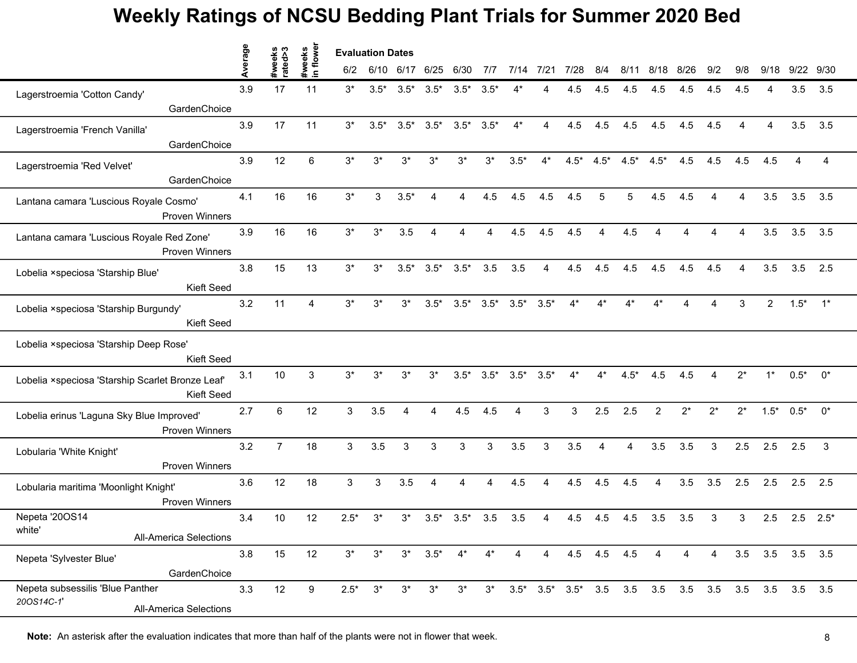|                                                                                 | erage   | #weeks<br>rated>3 | flower<br>#weeks | <b>Evaluation Dates</b> |        |                |                |                 |               |        |                |        |                |        |                                                                               |       |                        |                        |                 |           |                  |
|---------------------------------------------------------------------------------|---------|-------------------|------------------|-------------------------|--------|----------------|----------------|-----------------|---------------|--------|----------------|--------|----------------|--------|-------------------------------------------------------------------------------|-------|------------------------|------------------------|-----------------|-----------|------------------|
|                                                                                 |         |                   | $\blacksquare$   | 6/2                     |        | 6/10 6/17 6/25 |                | 6/30            | 7/7           | 7/14   | 7/21           | 7/28   | 8/4            | 8/11   | 8/18                                                                          | 8/26  | 9/2                    | 9/8                    | 9/18            | 9/22 9/30 |                  |
| Lagerstroemia 'Cotton Candy'                                                    | 3.9     | 17                | 11               | $3^*$                   | $3.5*$ | $3.5*$         | $3.5*$         | $3.5*$          | $3.5^{\circ}$ |        |                | 4.5    | 4.5            | 4.5    | 4.5                                                                           | 4.5   | 4.5                    | 4.5                    |                 | 3.5       | 3.5              |
| GardenChoice                                                                    |         |                   |                  |                         |        |                |                |                 |               |        |                |        |                |        |                                                                               |       |                        |                        |                 |           |                  |
| Lagerstroemia 'French Vanilla'                                                  | 3.9     | 17                | 11               | $3^*$                   | $3.5*$ | $3.5*$         | $3.5*$         | $3.5^*$ $3.5^*$ |               | $4^*$  | 4              | 4.5    | 4.5            | 4.5    | 4.5                                                                           | 4.5   | 4.5                    | $\boldsymbol{\Lambda}$ | 4               | 3.5       | 3.5              |
| GardenChoice                                                                    |         |                   |                  |                         |        |                |                |                 |               |        |                |        |                |        |                                                                               |       |                        |                        |                 |           |                  |
| Lagerstroemia 'Red Velvet'                                                      | 3.9     | 12                | 6                | $3^{\star}$             | $3^*$  | $3^*$          | $3^*$          | $3^*$           | $3^*$         | $3.5*$ | $4^*$          | $4.5*$ | $4.5*$         | $4.5*$ | $4.5*$                                                                        | 4.5   | 4.5                    | 4.5                    | 4.5             |           | 4                |
| GardenChoice                                                                    |         |                   |                  |                         |        |                |                |                 |               |        |                |        |                |        |                                                                               |       |                        |                        |                 |           |                  |
| Lantana camara 'Luscious Royale Cosmo'<br><b>Proven Winners</b>                 | 4.1     | 16                | 16               | $3*$                    | 3      | $3.5*$         | 4              | 4               | 4.5           | 4.5    | 4.5            | 4.5    | 5              | 5      | 4.5                                                                           | 4.5   | $\boldsymbol{\Lambda}$ | 4                      | 3.5             | 3.5       | 3.5              |
| Lantana camara 'Luscious Royale Red Zone'<br><b>Proven Winners</b>              | 3.9     | 16                | 16               | $3^*$                   | $3^*$  | 3.5            |                |                 |               | 4.5    | 4.5            | 4.5    |                | 4.5    |                                                                               |       |                        |                        | 3.5             | 3.5       | 3.5              |
| Lobelia ×speciosa 'Starship Blue'<br>Kieft Seed                                 | 3.8     | 15                | 13               | $3^*$                   | $3^*$  | $3.5*$         | $3.5*$         | $3.5*$          | 3.5           | 3.5    | $\overline{4}$ | 4.5    | 4.5            | 4.5    | 4.5                                                                           | 4.5   | 4.5                    | 4                      | 3.5             | 3.5       | 2.5              |
| Lobelia ×speciosa 'Starship Burgundy'<br>Kieft Seed                             | 3.2     | 11                | $\Delta$         | $3^*$                   | $3^*$  | $3^*$          | $3.5*$         | $3.5^*$ $3.5^*$ |               | $3.5*$ | $3.5*$         | $4^*$  | $4^*$          | $4^*$  | 4*                                                                            | Δ     | $\Delta$               | 3                      | $\overline{2}$  | $1.5*$    | $\overline{1}^*$ |
| Lobelia ×speciosa 'Starship Deep Rose'<br>Kieft Seed                            |         |                   |                  |                         |        |                |                |                 |               |        |                |        |                |        |                                                                               |       |                        |                        |                 |           |                  |
| Lobelia ×speciosa 'Starship Scarlet Bronze Leaf'<br>Kieft Seed                  | 3.1     | 10                | 3                | $3^*$                   | $3^*$  | $3^*$          | $3^*$          | $3.5*$          | $3.5*$        | $3.5*$ | $3.5*$         | $4^*$  |                | $4.5*$ | 4.5                                                                           | 4.5   |                        | $2^*$                  | $1^*$           | $0.5*$    | 0*               |
| Lobelia erinus 'Laguna Sky Blue Improved'<br><b>Proven Winners</b>              | 2.7     | $6\phantom{a}$    | 12               | 3                       | 3.5    | $\overline{4}$ | $\overline{4}$ | 4.5             | 4.5           | 4      | 3              | 3      | 2.5            | 2.5    | $\overline{2}$                                                                | $2^*$ | $2^*$                  | $2^*$                  | $1.5*$          | $0.5^*$   | $0^*$            |
| Lobularia 'White Knight'<br><b>Proven Winners</b>                               | 3.2     | $\overline{7}$    | 18               | 3                       | 3.5    | 3              | 3              | 3               | 3             | 3.5    | 3              | 3.5    | $\overline{4}$ | 4      | 3.5                                                                           | 3.5   | 3                      | 2.5                    | 2.5             | 2.5       | 3                |
| Lobularia maritima 'Moonlight Knight'<br><b>Proven Winners</b>                  | 3.6     | 12                | 18               | 3                       | 3      | 3.5            | 4              | Δ               | 4             | 4.5    | 4              | 4.5    | 4.5            | 4.5    | 4                                                                             | 3.5   | 3.5                    | 2.5                    | 2.5             | 2.5       | 2.5              |
| Nepeta '20OS14<br>white'<br>All-America Selections                              | 3.4     | 10                | 12               | $2.5*$                  | 3*     | 3*             | $3.5*$         | $3.5*$          | 3.5           | 3.5    |                | 4.5    | 4.5            | 4.5    | 3.5                                                                           | 3.5   | 3                      | 3                      | 2.5             |           | $2.5$ $2.5^*$    |
| Nepeta 'Sylvester Blue'<br>GardenChoice                                         | $3.8\,$ | 15                | 12               | $3^*$                   | $3^*$  | $3^*$          | $3.5*$         | $4^*$           | $4^*$         | 4      | $\overline{4}$ |        | 4.5 4.5 4.5    |        | 4                                                                             | 4     | 4                      |                        | 3.5 3.5 3.5 3.5 |           |                  |
| Nepeta subsessilis 'Blue Panther<br>20OS14C-1'<br><b>All-America Selections</b> | 3.3     | 12                | 9                | $2.5*$                  | $3^*$  | $3^*$          | $3^*$          | $3^*$           | $3^*$         |        |                |        |                |        | $3.5^*$ $3.5^*$ $3.5^*$ $3.5$ $3.5$ $3.5$ $3.5$ $3.5$ $3.5$ $3.5$ $3.5$ $3.5$ |       |                        |                        |                 |           |                  |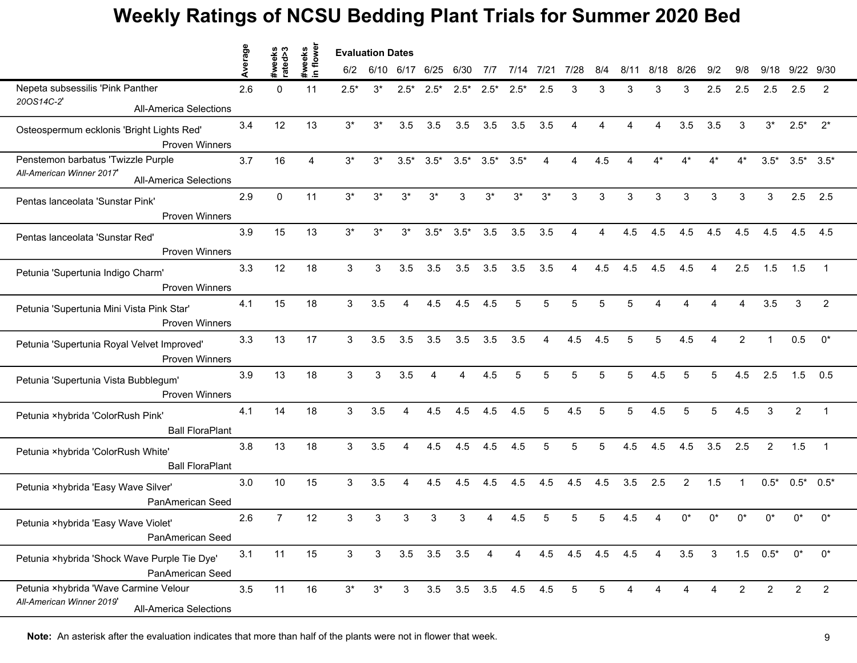|                                                                                                     | Average | s<br>s<br>sxeks | weeks<br>n flower | <b>Evaluation Dates</b> |              |                |        |                 |        |                     |       |                 |     |                        |                        |                        |                |                |                |                 |                |
|-----------------------------------------------------------------------------------------------------|---------|-----------------|-------------------|-------------------------|--------------|----------------|--------|-----------------|--------|---------------------|-------|-----------------|-----|------------------------|------------------------|------------------------|----------------|----------------|----------------|-----------------|----------------|
|                                                                                                     |         | ate             | $\mathbf{C}$      | 6/2                     | 6/10         | 6/17 6/25      |        | 6/30            | 7/7    | 7/14                | 7/21  | 7/28            | 8/4 | 8/11                   | 8/18                   | 8/26                   | 9/2            | 9/8            | 9/18           | 9/22            | 9/30           |
| Nepeta subsessilis 'Pink Panther                                                                    | 2.6     | $\mathbf{0}$    | 11                | $2.5*$                  | $3^*$        | $2.5*$         | $2.5*$ | $2.5*$          | $2.5*$ | $2.5*$              | 2.5   | 3               | 3   | 3                      | 3                      | 3                      | 2.5            | 2.5            | 2.5            | 2.5             | 2              |
| 20OS14C-2'<br><b>All-America Selections</b>                                                         |         |                 |                   |                         |              |                |        |                 |        |                     |       |                 |     |                        |                        |                        |                |                |                |                 |                |
| Osteospermum ecklonis 'Bright Lights Red'<br><b>Proven Winners</b>                                  | 3.4     | 12              | 13                | $3^*$                   | $3^*$        | 3.5            | 3.5    | 3.5             | 3.5    | 3.5                 | 3.5   | 4               | 4   | $\boldsymbol{\Lambda}$ | $\boldsymbol{\Lambda}$ | 3.5                    | 3.5            | 3              | $3^*$          | $2.5*$          | $2^*$          |
| Penstemon barbatus 'Twizzle Purple<br>All-American Winner 2017<br><b>All-America Selections</b>     | 3.7     | 16              | 4                 | $3^*$                   | $3^*$        | $3.5*$         | $3.5*$ | $3.5^*$ $3.5^*$ |        | $3.5*$              | 4     | 4               | 4.5 | $\boldsymbol{\Lambda}$ | 4*                     | 4*                     | $4^*$          | $4^*$          | $3.5*$         | $3.5^*$ $3.5^*$ |                |
| Pentas lanceolata 'Sunstar Pink'<br><b>Proven Winners</b>                                           | 2.9     | $\Omega$        | 11                | $3^*$                   | $3^*$        | $3^*$          | $3^*$  | 3               | $3^*$  | $3^*$               | $3^*$ | 3               | 3   | 3                      | 3                      | 3                      | 3              | 3              | 3              | 2.5             | 2.5            |
| Pentas lanceolata 'Sunstar Red'<br>Proven Winners                                                   | 3.9     | 15              | 13                | $3^*$                   | 3*           | $3^*$          | $3.5*$ | $3.5*$          | 3.5    | 3.5                 | 3.5   |                 |     | 4.5                    | 4.5                    | 4.5                    | 4.5            | 4.5            | 4.5            | 4.5             | 4.5            |
| Petunia 'Supertunia Indigo Charm'<br>Proven Winners                                                 | 3.3     | 12              | 18                | 3                       | 3            | 3.5            | 3.5    | 3.5             | 3.5    | 3.5                 | 3.5   | 4               | 4.5 | 4.5                    | 4.5                    | 4.5                    | $\overline{4}$ | 2.5            | 1.5            | 1.5             | $\overline{1}$ |
| Petunia 'Supertunia Mini Vista Pink Star'<br><b>Proven Winners</b>                                  | 4.1     | 15              | 18                | 3                       | 3.5          | $\overline{4}$ | 4.5    | 4.5             | 4.5    | 5                   | 5     | 5               | 5   | 5                      | $\boldsymbol{\Lambda}$ | $\boldsymbol{\Lambda}$ | $\Delta$       | 4              | 3.5            | 3               | 2              |
| Petunia 'Supertunia Royal Velvet Improved'<br><b>Proven Winners</b>                                 | 3.3     | 13              | 17                | 3                       | 3.5          | 3.5            | 3.5    | 3.5             | 3.5    | 3.5                 | 4     | 4.5             | 4.5 | 5                      | 5                      | 4.5                    | 4              | $\overline{2}$ |                | 0.5             | $0^*$          |
| Petunia 'Supertunia Vista Bubblegum'<br>Proven Winners                                              | 3.9     | 13              | 18                | 3                       | 3            | 3.5            |        |                 | 4.5    |                     |       |                 |     | 5                      | 4.5                    | 5                      | 5              | 4.5            | 2.5            | 1.5             | 0.5            |
| Petunia ×hybrida 'ColorRush Pink'<br><b>Ball FloraPlant</b>                                         | 4.1     | 14              | 18                | 3                       | 3.5          | 4              | 4.5    | 4.5             | 4.5    | 4.5                 | 5     | 4.5             | 5   | 5                      | 4.5                    | 5                      | 5              | 4.5            | 3              | $\overline{2}$  | $\overline{1}$ |
| Petunia ×hybrida 'ColorRush White'<br><b>Ball FloraPlant</b>                                        | 3.8     | 13              | 18                | 3                       | 3.5          | $\overline{4}$ | 4.5    | 4.5             | 4.5    | 4.5                 | 5     | 5               | 5   | 4.5                    | 4.5                    | 4.5                    | 3.5            | 2.5            | $\overline{2}$ | 1.5             | $\overline{1}$ |
| Petunia ×hybrida 'Easy Wave Silver'<br>PanAmerican Seed                                             | 3.0     | 10              | 15                | 3                       | 3.5          | 4              | 4.5    | 4.5             | 4.5    | 4.5                 | 4.5   | 4.5             | 4.5 | 3.5                    | 2.5                    | $\overline{2}$         | 1.5            | $\mathbf{1}$   | $0.5*$         | $0.5^*$ 0.5*    |                |
| Petunia ×hybrida 'Easy Wave Violet'<br>PanAmerican Seed                                             | 2.6     | $\overline{7}$  | 12                | 3                       | 3            | 3              | 3      | 3               |        | 4.5                 |       |                 |     | 4.5                    |                        | n*                     | n*             |                | n*             | ሰ*              | $0^*$          |
| Petunia ×hybrida 'Shock Wave Purple Tie Dye'<br>PanAmerican Seed                                    | 3.1     | 11              | 15                | $\mathbf{3}$            | $\mathbf{3}$ | $3.5\quad 3.5$ |        | 3.5             | 4      | $\overline{4}$      |       | 4.5 4.5 4.5 4.5 |     |                        | 4                      | 3.5                    | $\mathbf{3}$   |                | $1.5 \t 0.5^*$ | $0^*$           | $0^*$          |
| Petunia ×hybrida 'Wave Carmine Velour<br>All-American Winner 2019'<br><b>All-America Selections</b> | 3.5     | 11              | 16                | $3^*$                   | $3^*$        | $\mathbf{3}$   |        |                 |        | 3.5 3.5 3.5 4.5 4.5 |       | 5               | 5   |                        |                        | Δ                      |                | 2              | 2              | $\overline{2}$  | $\overline{2}$ |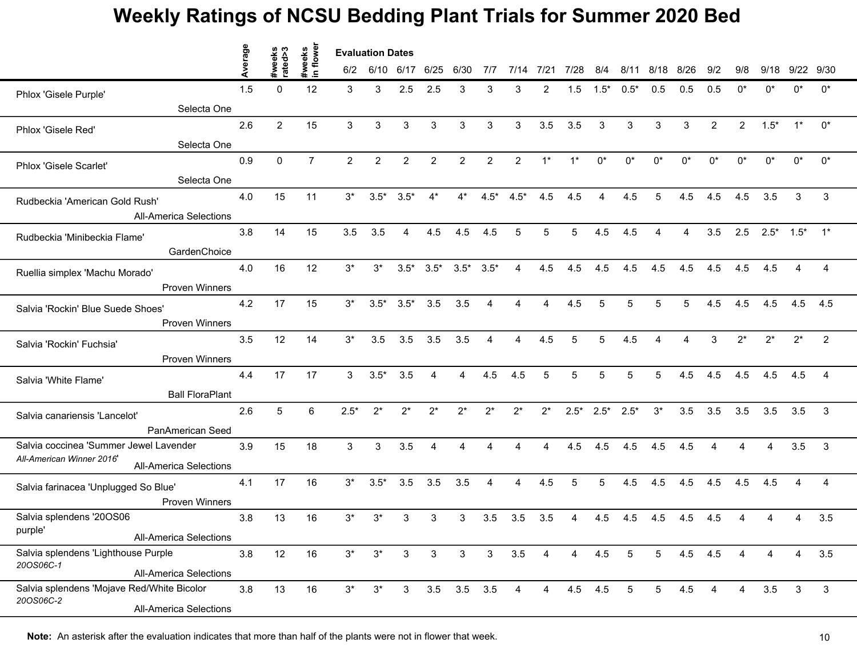|                                                            | erage | weeks<br>tted>3 | flower<br>weeks | <b>Evaluation Dates</b> |                |                |                |                   |                |                |                |                |              |                 |                 |       |                        |                |                |            |                |
|------------------------------------------------------------|-------|-----------------|-----------------|-------------------------|----------------|----------------|----------------|-------------------|----------------|----------------|----------------|----------------|--------------|-----------------|-----------------|-------|------------------------|----------------|----------------|------------|----------------|
|                                                            |       |                 | $\mathbf{C}$    | 6/2                     | 6/10           | 6/17           | 6/25           | 6/30              | 7/7            | 7/14           | 7/21           | 7/28           | 8/4          | 8/11            | 8/18            | 8/26  | 9/2                    | 9/8            | 9/18           | 9/22       | 9/30           |
| Phlox 'Gisele Purple'                                      | 1.5   | $\mathbf{0}$    | 12              | 3                       | 3              | 2.5            | 2.5            | 3                 | 3              | 3              | 2              | 1.5            | $1.5*$       | $0.5*$          | 0.5             | 0.5   | 0.5                    | n*             | n*             | n*         | $^{\circ}$     |
| Selecta One                                                |       |                 |                 |                         |                |                |                |                   |                |                |                |                |              |                 |                 |       |                        |                |                |            |                |
| Phlox 'Gisele Red'                                         | 2.6   | $\overline{2}$  | 15              | 3                       | 3              | 3              | 3              | 3                 | 3              | 3              | 3.5            | 3.5            | 3            | 3               | 3               | 3     | $\overline{2}$         | $\overline{2}$ | $1.5*$         | $1^*$      | $0^{\ast}$     |
| Selecta One                                                |       |                 |                 |                         |                |                |                |                   |                |                |                |                |              |                 |                 |       |                        |                |                |            |                |
| Phlox 'Gisele Scarlet'                                     | 0.9   | 0               | $\overline{7}$  | $\overline{2}$          | $\overline{2}$ | $\overline{2}$ | $\overline{2}$ | $\overline{2}$    | $\overline{2}$ | $\overline{2}$ | $1^*$          | $1^*$          | $0^*$        | $0^*$           | $0^*$           | $0^*$ | n*                     | U <sub>*</sub> | $0^*$          | n*         | $0^*$          |
| Selecta One                                                |       |                 |                 |                         |                |                |                |                   |                |                |                |                |              |                 |                 |       |                        |                |                |            |                |
| Rudbeckia 'American Gold Rush'                             | 4.0   | 15              | 11              | $3^*$                   | $3.5*$         | $3.5*$         | $4^*$          | $4^*$             | $4.5*$         | $4.5*$         | 4.5            | 4.5            | 4            | 4.5             | 5               | 4.5   | 4.5                    | 4.5            | 3.5            | 3          | 3              |
| <b>All-America Selections</b>                              |       |                 |                 |                         |                |                |                |                   |                |                |                |                |              |                 |                 |       |                        |                |                |            |                |
| Rudbeckia 'Minibeckia Flame'                               | 3.8   | 14              | 15              | 3.5                     | 3.5            | 4              | 4.5            | 4.5               | 4.5            | 5              |                | 5              | 4.5          | 4.5             |                 | Δ     | 3.5                    | 2.5            | $2.5^*$        | $1.5^*$ 1* |                |
| GardenChoice                                               |       |                 |                 |                         |                |                |                |                   |                |                |                |                |              |                 |                 |       |                        |                |                |            |                |
| Ruellia simplex 'Machu Morado'                             | 4.0   | 16              | 12              | $3^*$                   | $3^*$          | $3.5*$         | $3.5*$         | $3.5^*$ $3.5^*$   |                | $\overline{4}$ | 4.5            | 4.5            | 4.5          | 4.5             | 4.5             | 4.5   | 4.5                    | 4.5            | 4.5            | 4          | $\overline{4}$ |
| <b>Proven Winners</b>                                      |       |                 |                 |                         |                |                |                |                   |                |                |                |                |              |                 |                 |       |                        |                |                |            |                |
| Salvia 'Rockin' Blue Suede Shoes'                          | 4.2   | 17              | 15              | $3^*$                   | $3.5*$         | $3.5*$         | 3.5            | 3.5               | $\overline{A}$ | 4              | 4              | 4.5            | 5            | 5               | $\overline{5}$  | 5     | 4.5                    | 4.5            | 4.5            | 4.5        | 4.5            |
| <b>Proven Winners</b>                                      |       |                 |                 |                         |                |                |                |                   |                |                |                |                |              |                 |                 |       |                        |                |                |            |                |
| Salvia 'Rockin' Fuchsia'                                   | 3.5   | 12              | 14              | $3^*$                   | 3.5            | 3.5            | 3.5            | 3.5               | $\overline{4}$ | 4              | 4.5            | 5              | 5            | 4.5             |                 | Δ     | 3                      | $2^*$          | $2^*$          | $2^*$      | 2              |
| Proven Winners                                             |       |                 |                 |                         |                |                |                |                   |                |                |                |                |              |                 |                 |       |                        |                |                |            |                |
| Salvia 'White Flame'                                       | 4.4   | 17              | 17              | 3                       | $3.5*$         | 3.5            |                | 4                 | 4.5            | 4.5            |                | 5              |              | 5               |                 | 4.5   | 4.5                    | 4.5            | 4.5            | 4.5        | 4              |
| <b>Ball FloraPlant</b>                                     |       |                 |                 |                         |                |                |                |                   |                |                |                |                |              |                 |                 |       |                        |                |                |            |                |
| Salvia canariensis 'Lancelot'                              | 2.6   | 5               | 6               | $2.5*$                  | $2^*$          | $2^*$          | $2^*$          | $2^*$             | $2^*$          | $2^*$          | $2^*$          |                | $2.5^*$ 2.5* | $2.5*$          | $3^*$           | 3.5   | 3.5                    | 3.5            | 3.5            | 3.5        | 3              |
| PanAmerican Seed                                           |       |                 |                 |                         |                |                |                |                   |                |                |                |                |              |                 |                 |       |                        |                |                |            |                |
| Salvia coccinea 'Summer Jewel Lavender                     | 3.9   | 15              | 18              | 3                       | 3              | 3.5            | 4              | $\overline{A}$    |                | $\mathbf 4$    | 4              | 4.5            | 4.5          | 4.5             | 4.5             | 4.5   | $\boldsymbol{\Lambda}$ | $\overline{A}$ | $\overline{A}$ | 3.5        | 3              |
| All-American Winner 2016'<br><b>All-America Selections</b> |       |                 |                 |                         |                |                |                |                   |                |                |                |                |              |                 |                 |       |                        |                |                |            |                |
| Salvia farinacea 'Unplugged So Blue'                       | 4.1   | 17              | 16              | $3^*$                   | $3.5*$         | 3.5            | 3.5            | 3.5               | 4              | 4              | 4.5            | 5              | 5            | 4.5             | 4.5             | 4.5   | 4.5                    | 4.5            | 4.5            | 4          | 4              |
| <b>Proven Winners</b>                                      |       |                 |                 |                         |                |                |                |                   |                |                |                |                |              |                 |                 |       |                        |                |                |            |                |
| Salvia splendens '20OS06                                   | 3.8   | 13              | 16              | $3^*$                   | $3^*$          | 3              | 3              | 3                 | 3.5            | 3.5            | 3.5            | 4              | 4.5          | 4.5             | 4.5             | 4.5   | 4.5                    |                |                |            | 3.5            |
| purple'<br><b>All-America Selections</b>                   |       |                 |                 |                         |                |                |                |                   |                |                |                |                |              |                 |                 |       |                        |                |                |            |                |
| Salvia splendens 'Lighthouse Purple                        | 3.8   | 12              | 16              | $3^*$                   | $3^*$          | $\mathbf{3}$   | 3              | 3                 | $\mathbf{3}$   | 3.5            | 4              | $\overline{4}$ | 4.5          | $5\phantom{.0}$ | $5\overline{)}$ | 4.5   | 4.5                    | 4              | 4              | 4          | 3.5            |
| 20OS06C-1<br><b>All-America Selections</b>                 |       |                 |                 |                         |                |                |                |                   |                |                |                |                |              |                 |                 |       |                        |                |                |            |                |
| Salvia splendens 'Mojave Red/White Bicolor                 | 3.8   | 13              | 16              | $3^*$                   | $3^*$          | $\mathbf{3}$   |                | $3.5$ $3.5$ $3.5$ |                | 4              | $\overline{4}$ | $4.5$ $4.5$    |              | $5\phantom{.0}$ | 5 <sup>5</sup>  | 4.5   | 4                      | 4              | 3.5            | 3          | 3              |
| 20OS06C-2<br><b>All-America Selections</b>                 |       |                 |                 |                         |                |                |                |                   |                |                |                |                |              |                 |                 |       |                        |                |                |            |                |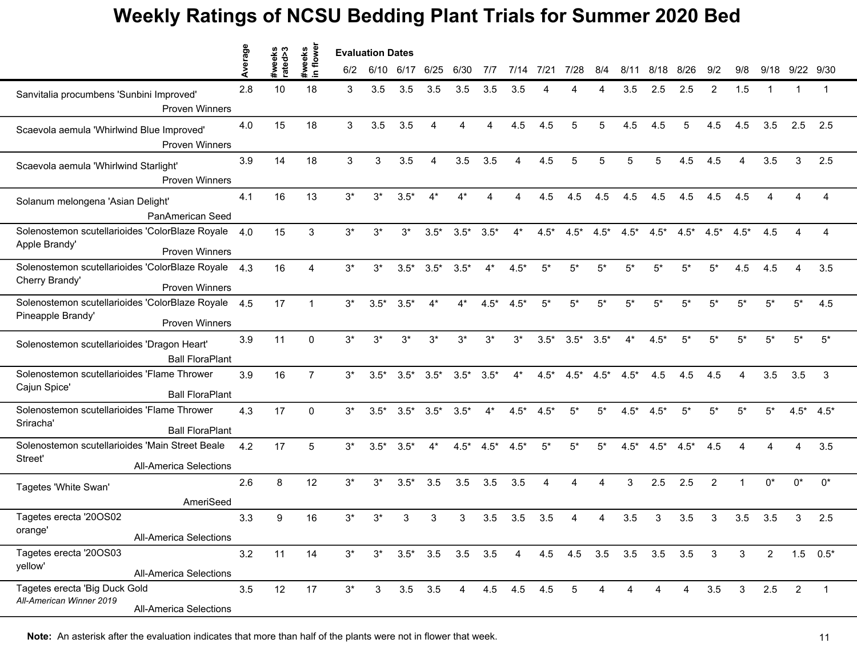|                                                                                               | erage | eeks<br>ted>3 | in flowe<br>weeks | <b>Evaluation Dates</b> |              |                |                |                |        |                |        |                 |        |        |                         |        |              |              |                |                |                 |
|-----------------------------------------------------------------------------------------------|-------|---------------|-------------------|-------------------------|--------------|----------------|----------------|----------------|--------|----------------|--------|-----------------|--------|--------|-------------------------|--------|--------------|--------------|----------------|----------------|-----------------|
|                                                                                               | ₫     |               |                   | 6/2                     |              | 6/10 6/17 6/25 |                | 6/30           | 717    | 7/14           | 7/21   | 7/28            | 8/4    | 8/11   | 8/18                    | 8/26   | 9/2          | 9/8          | 9/18           | 9/22 9/30      |                 |
| Sanvitalia procumbens 'Sunbini Improved'<br><b>Proven Winners</b>                             | 2.8   | 10            | 18                | 3                       | 3.5          | 3.5            | 3.5            | 3.5            | 3.5    | 3.5            |        |                 |        | 3.5    | 2.5                     | 2.5    | 2            | 1.5          |                |                | -1              |
| Scaevola aemula 'Whirlwind Blue Improved'<br><b>Proven Winners</b>                            | 4.0   | 15            | 18                | 3                       | 3.5          | 3.5            | $\overline{4}$ | Δ              | 4      | 4.5            | 4.5    | 5               | 5      | 4.5    | 4.5                     | 5      | 4.5          | 4.5          | 3.5            | 2.5            | 2.5             |
| Scaevola aemula 'Whirlwind Starlight'<br>Proven Winners                                       | 3.9   | 14            | 18                | 3                       | 3            | 3.5            | 4              | 3.5            | 3.5    | 4              | 4.5    | 5               | 5      | 5      | 5                       | 4.5    | 4.5          | 4            | 3.5            | 3              | 2.5             |
| Solanum melongena 'Asian Delight'<br>PanAmerican Seed                                         | 4.1   | 16            | 13                | $3^*$                   | $3^*$        | $3.5*$         | $4^*$          | $4^*$          |        |                | 4.5    | 4.5             | 4.5    | 4.5    | 4.5                     | 4.5    | 4.5          | 4.5          |                |                | 4               |
| Solenostemon scutellarioides 'ColorBlaze Royale<br>Apple Brandy'<br><b>Proven Winners</b>     | 4.0   | 15            | 3                 | $3^*$                   | $3^*$        | $3*$           | $3.5*$         | $3.5*$         | $3.5*$ | $4*$           | $4.5*$ | $4.5*$          | $4.5*$ | $4.5*$ | $4.5*$                  | $4.5*$ | $4.5*$       | $4.5*$       | 4.5            |                | 4               |
| Solenostemon scutellarioides 'ColorBlaze Royale<br>Cherry Brandy'<br><b>Proven Winners</b>    | 4.3   | 16            | $\overline{4}$    | $3^*$                   | $3^*$        | $3.5*$         | $3.5*$         | $3.5*$         | $4^*$  | $4.5*$         | $5*$   | $5^*$           | $5*$   | $5*$   | $5*$                    | $5^*$  | $5^*$        | 4.5          | 4.5            | $\overline{A}$ | 3.5             |
| Solenostemon scutellarioides 'ColorBlaze Royale<br>Pineapple Brandy'<br><b>Proven Winners</b> | 4.5   | 17            | 1                 | $3^*$                   | $3.5*$       | $3.5*$         | $4*$           | 4*             | $4.5*$ | $4.5*$         | $5*$   | $5^*$           | $5*$   | $5*$   | $5*$                    | $5*$   | $5*$         | 5*           | $5*$           | 5*             | 4.5             |
| Solenostemon scutellarioides 'Dragon Heart'<br><b>Ball FloraPlant</b>                         | 3.9   | 11            | $\Omega$          | $3^*$                   | $3^*$        | $3^*$          | $3^*$          | $3^*$          | $3^*$  | $3^*$          | $3.5*$ | $3.5*$          | $3.5*$ | $4^*$  | $4.5*$                  | $5*$   | $5*$         | 5*           | $5^*$          | 5*             | $5^*$           |
| Solenostemon scutellarioides 'Flame Thrower<br>Cajun Spice'<br><b>Ball FloraPlant</b>         | 3.9   | 16            | 7                 | $3^*$                   | $3.5*$       | $3.5*$         | $3.5*$         | $3.5*$         | $3.5*$ | $4^*$          | $4.5*$ | $4.5*$          | $4.5*$ | $4.5*$ | 4.5                     | 4.5    | 4.5          | Δ            | 3.5            | 3.5            | 3               |
| Solenostemon scutellarioides 'Flame Thrower<br>Sriracha'<br><b>Ball FloraPlant</b>            | 4.3   | 17            | $\Omega$          | $3^*$                   | $3.5*$       | $3.5*$         | $3.5*$         | $3.5*$         | $4^*$  | $4.5*$         | $4.5*$ | $5^*$           | $5^*$  | $4.5*$ | $4.5*$                  | $5^*$  | $5^*$        | $5^*$        | $5*$           |                | $4.5^*$ $4.5^*$ |
| Solenostemon scutellarioides 'Main Street Beale<br>Street'<br><b>All-America Selections</b>   | 4.2   | 17            | 5                 | $3^*$                   | $3.5*$       | $3.5*$         | $4*$           | $4.5*$         | $4.5*$ | $4.5*$         | $5*$   | $5*$            | $5*$   | $4.5*$ | $4.5*$                  | $4.5*$ | 4.5          | $\Delta$     |                | 4              | 3.5             |
| Tagetes 'White Swan'<br>AmeriSeed                                                             | 2.6   | 8             | 12                | $3^*$                   | $3^*$        | $3.5*$         | 3.5            | 3.5            | 3.5    | 3.5            | 4      | Δ               | Δ      | 3      | 2.5                     | 2.5    | 2            |              | $0^*$          | $0^*$          | $0^*$           |
| Tagetes erecta '20OS02<br>orange <sup>.</sup><br><b>All-America Selections</b>                | 3.3   | 9             | 16                | $3^*$                   | $3^*$        | 3              | 3              | 3              | 3.5    | 3.5            | 3.5    |                 |        | 3.5    | 3                       | 3.5    | 3            | 3.5          | 3.5            | 3              | 2.5             |
| Tagetes erecta '20OS03<br>yellow'<br><b>All-America Selections</b>                            | 3.2   | 11            | 14                | $3^*$                   | $3^*$        | $3.5^*$ 3.5    |                | $3.5$ $3.5$    |        | $\overline{4}$ |        |                 |        |        | 4.5 4.5 3.5 3.5 3.5 3.5 |        | $\mathbf{3}$ | 3            | $\overline{2}$ |                | $1.5$ $0.5^*$   |
| Tagetes erecta 'Big Duck Gold<br>All-American Winner 2019<br><b>All-America Selections</b>    | 3.5   | 12            | 17                | $3^*$                   | $\mathbf{3}$ |                | $3.5$ $3.5$    | $\overline{4}$ |        | 4.5 4.5 4.5    |        | $5\phantom{.0}$ | 4      | 4      | 4                       | 4      | 3.5          | $\mathbf{3}$ | 2.5            | $\overline{2}$ | $\overline{1}$  |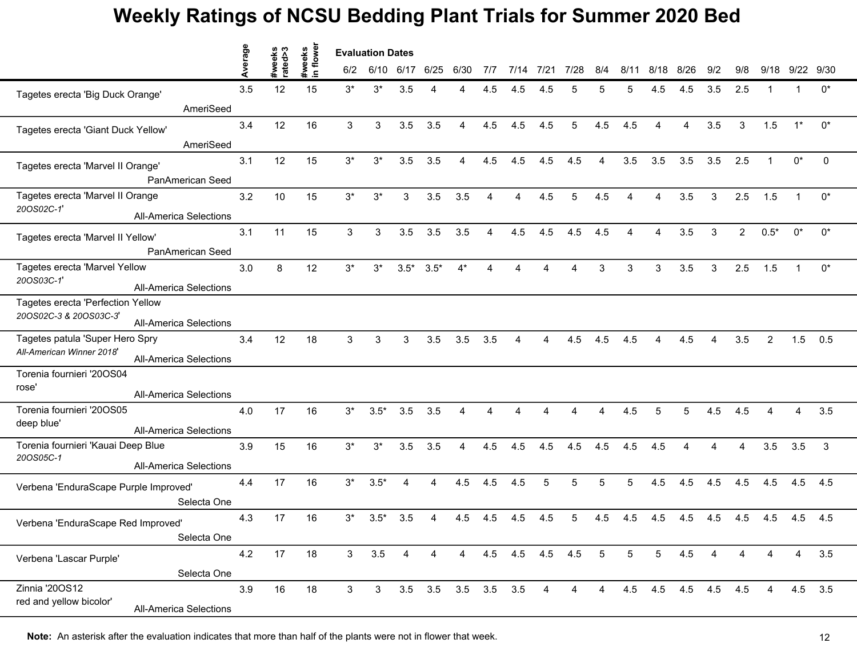|                                                            | erage | #weeks<br>rated>3 | flower       |       | <b>Evaluation Dates</b> |        |                     |       |     |             |                |                |                 |      |                     |      |          |                |                |       |         |
|------------------------------------------------------------|-------|-------------------|--------------|-------|-------------------------|--------|---------------------|-------|-----|-------------|----------------|----------------|-----------------|------|---------------------|------|----------|----------------|----------------|-------|---------|
|                                                            |       |                   | #weeks<br>르. | 6/2   | 6/10                    | 6/17   | 6/25                | 6/30  | 7/7 | 7/14        | 7/21           | 7/28           | 8/4             | 8/11 | 8/18                | 8/26 | 9/2      | 9/8            | 9/18           | 9/22  | 9/30    |
| Tagetes erecta 'Big Duck Orange'                           | 3.5   | 12                | 15           | $3^*$ | $3^*$                   | 3.5    |                     | Δ     | 4.5 | 4.5         | 4.5            |                |                 | 5    | 4.5                 | 4.5  | 3.5      | 2.5            |                |       | $0^*$   |
| AmeriSeed                                                  |       |                   |              |       |                         |        |                     |       |     |             |                |                |                 |      |                     |      |          |                |                |       |         |
| Tagetes erecta 'Giant Duck Yellow'                         | 3.4   | 12                | 16           | 3     | 3                       | 3.5    | 3.5                 | 4     | 4.5 | 4.5         | 4.5            | 5              | 4.5             | 4.5  | 4                   | 4    | 3.5      | 3              | 1.5            | $1^*$ | $0^*$   |
| AmeriSeed                                                  |       |                   |              |       |                         |        |                     |       |     |             |                |                |                 |      |                     |      |          |                |                |       |         |
| Tagetes erecta 'Marvel II Orange'                          | 3.1   | 12                | 15           | $3^*$ | $3^*$                   | 3.5    | 3.5                 | 4     | 4.5 | 4.5         | 4.5            | 4.5            | 4               | 3.5  | 3.5                 | 3.5  | 3.5      | 2.5            | $\mathbf 1$    | $0^*$ | 0       |
| PanAmerican Seed                                           |       |                   |              |       |                         |        |                     |       |     |             |                |                |                 |      |                     |      |          |                |                |       |         |
| Tagetes erecta 'Marvel II Orange                           | 3.2   | 10                | 15           | $3^*$ | $3^*$                   | 3      | 3.5                 | 3.5   | Δ   | Δ           | 4.5            | 5              | 4.5             |      | Δ                   | 3.5  | 3        | 2.5            | 1.5            |       | $0^*$   |
| 20OS02C-1'<br><b>All-America Selections</b>                |       |                   |              |       |                         |        |                     |       |     |             |                |                |                 |      |                     |      |          |                |                |       |         |
| Tagetes erecta 'Marvel II Yellow'                          | 3.1   | 11                | 15           | 3     | 3                       | 3.5    | 3.5                 | 3.5   | Δ   | 4.5         | 4.5            | 4.5            | 4.5             |      |                     | 3.5  | 3        | $\overline{2}$ | $0.5*$         | $0^*$ | $0^*$   |
| PanAmerican Seed                                           |       |                   |              |       |                         |        |                     |       |     |             |                |                |                 |      |                     |      |          |                |                |       |         |
| Tagetes erecta 'Marvel Yellow                              | 3.0   | 8                 | 12           | $3^*$ | $3^*$                   | $3.5*$ | $3.5*$              | $4^*$ | 4   | Δ           |                | $\Delta$       | 3               | 3    | 3                   | 3.5  | 3        | 2.5            | 1.5            | 1     | $0^*$   |
| 20OS03C-1'<br><b>All-America Selections</b>                |       |                   |              |       |                         |        |                     |       |     |             |                |                |                 |      |                     |      |          |                |                |       |         |
| Tagetes erecta 'Perfection Yellow                          |       |                   |              |       |                         |        |                     |       |     |             |                |                |                 |      |                     |      |          |                |                |       |         |
| 20OS02C-3 & 20OS03C-3'<br><b>All-America Selections</b>    |       |                   |              |       |                         |        |                     |       |     |             |                |                |                 |      |                     |      |          |                |                |       |         |
| Tagetes patula 'Super Hero Spry                            | 3.4   | 12                | 18           | 3     | 3                       | 3      | 3.5                 | 3.5   | 3.5 | 4           | 4              | 4.5            | 4.5             | 4.5  | 4                   | 4.5  | 4        | 3.5            | $\overline{2}$ | 1.5   | 0.5     |
| All-American Winner 2018'<br><b>All-America Selections</b> |       |                   |              |       |                         |        |                     |       |     |             |                |                |                 |      |                     |      |          |                |                |       |         |
| Torenia fournieri '20OS04                                  |       |                   |              |       |                         |        |                     |       |     |             |                |                |                 |      |                     |      |          |                |                |       |         |
| rose'<br><b>All-America Selections</b>                     |       |                   |              |       |                         |        |                     |       |     |             |                |                |                 |      |                     |      |          |                |                |       |         |
| Torenia fournieri '20OS05                                  | 4.0   | 17                | 16           | $3^*$ | $3.5*$                  | 3.5    | 3.5                 | 4     | Δ   | Δ           |                | Δ              | 4               | 4.5  | 5                   | 5    | 4.5      | 4.5            | $\overline{4}$ | 4     | 3.5     |
| deep blue'<br><b>All-America Selections</b>                |       |                   |              |       |                         |        |                     |       |     |             |                |                |                 |      |                     |      |          |                |                |       |         |
| Torenia fournieri 'Kauai Deep Blue                         | 3.9   | 15                | 16           | $3^*$ | $3^*$                   | 3.5    | 3.5                 | 4     | 4.5 | 4.5         | 4.5            | 4.5            | 4.5             | 4.5  | 4.5                 | 4    | $\Delta$ | $\overline{4}$ | 3.5            | 3.5   | 3       |
| 20OS05C-1<br><b>All-America Selections</b>                 |       |                   |              |       |                         |        |                     |       |     |             |                |                |                 |      |                     |      |          |                |                |       |         |
| Verbena 'EnduraScape Purple Improved'                      | 4.4   | 17                | 16           | $3^*$ | $3.5*$                  | 4      | 4                   | 4.5   | 4.5 | 4.5         | 5              | 5              | 5               | 5    | 4.5                 | 4.5  | 4.5      | 4.5            | 4.5            | 4.5   | 4.5     |
| Selecta One                                                |       |                   |              |       |                         |        |                     |       |     |             |                |                |                 |      |                     |      |          |                |                |       |         |
| Verbena 'EnduraScape Red Improved'                         | 4.3   | 17                | 16           | $3^*$ | $3.5*$                  | 3.5    |                     | 4.5   | 4.5 | 4.5         | 4.5            | 5              | 4.5             | 4.5  | 4.5                 | 4.5  | 4.5      | 4.5            | 4.5            | 4.5   | 4.5     |
| Selecta One                                                |       |                   |              |       |                         |        |                     |       |     |             |                |                |                 |      |                     |      |          |                |                |       |         |
| Verbena 'Lascar Purple'                                    | 4.2   | 17                | 18           | 3     | 3.5                     | 4      | 4                   | 4     |     | 4.5 4.5 4.5 |                | 4.5            | $5\overline{5}$ | 5    | $5^{\circ}$         | 4.5  | 4        | 4              | 4              | 4     | 3.5     |
| Selecta One                                                |       |                   |              |       |                         |        |                     |       |     |             |                |                |                 |      |                     |      |          |                |                |       |         |
| Zinnia '20OS12                                             | 3.9   | 16                | 18           | 3     | 3 <sup>1</sup>          |        | 3.5 3.5 3.5 3.5 3.5 |       |     |             | $\overline{4}$ | $\overline{4}$ | $\overline{4}$  |      | 4.5 4.5 4.5 4.5 4.5 |      |          |                |                |       | 4.5 3.5 |
| red and yellow bicolor'<br><b>All-America Selections</b>   |       |                   |              |       |                         |        |                     |       |     |             |                |                |                 |      |                     |      |          |                |                |       |         |